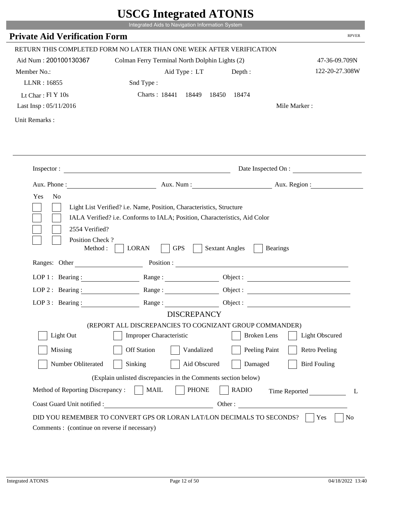|                                                                 | Integrated Aids to Navigation Information System                                                                                                   |                                          |                       |
|-----------------------------------------------------------------|----------------------------------------------------------------------------------------------------------------------------------------------------|------------------------------------------|-----------------------|
| <b>Private Aid Verification Form</b>                            |                                                                                                                                                    |                                          | <b>RPVER</b>          |
|                                                                 | RETURN THIS COMPLETED FORM NO LATER THAN ONE WEEK AFTER VERIFICATION                                                                               |                                          |                       |
| Aid Num: 200100130367                                           | Colman Ferry Terminal North Dolphin Lights (2)                                                                                                     |                                          | 47-36-09.709N         |
| Member No.:                                                     | Aid Type: LT                                                                                                                                       | Depth:                                   | 122-20-27.308W        |
| LLNR: 16855                                                     | Snd Type:                                                                                                                                          |                                          |                       |
| Lt Char: Fl Y 10s                                               | Charts: 18441 18449 18450                                                                                                                          | 18474                                    |                       |
| Last Insp: 05/11/2016                                           |                                                                                                                                                    |                                          | Mile Marker:          |
| Unit Remarks:                                                   |                                                                                                                                                    |                                          |                       |
|                                                                 |                                                                                                                                                    |                                          |                       |
|                                                                 | Inspector:                                                                                                                                         |                                          | Date Inspected On :   |
|                                                                 | Aux. Phone: Aux. Num : Aux. Num : Aux. Region :                                                                                                    |                                          |                       |
| 2554 Verified?                                                  | Light List Verified? i.e. Name, Position, Characteristics, Structure<br>IALA Verified? i.e. Conforms to IALA; Position, Characteristics, Aid Color |                                          |                       |
| Position Check?<br>Method : $\vert$<br>Ranges: Other            | <b>GPS</b><br><b>LORAN</b>                                                                                                                         | <b>Sextant Angles</b><br><b>Bearings</b> |                       |
|                                                                 |                                                                                                                                                    |                                          |                       |
|                                                                 | LOP 1: Bearing: Range:                                                                                                                             |                                          |                       |
| LOP 2: Bearing:                                                 |                                                                                                                                                    |                                          |                       |
|                                                                 | LOP 3: Bearing: Range: Range: Object:                                                                                                              |                                          |                       |
|                                                                 | <b>DISCREPANCY</b><br>(REPORT ALL DISCREPANCIES TO COGNIZANT GROUP COMMANDER)                                                                      |                                          |                       |
| Light Out                                                       | Improper Characteristic                                                                                                                            | <b>Broken</b> Lens                       | <b>Light Obscured</b> |
| Missing                                                         | <b>Off Station</b><br>Vandalized                                                                                                                   | Peeling Paint                            | <b>Retro Peeling</b>  |
| Number Obliterated                                              | Sinking<br>Aid Obscured                                                                                                                            | Damaged                                  | <b>Bird Fouling</b>   |
|                                                                 |                                                                                                                                                    |                                          |                       |
|                                                                 | (Explain unlisted discrepancies in the Comments section below)                                                                                     |                                          |                       |
| Method of Reporting Discrepancy:<br>Coast Guard Unit notified : | <b>MAIL</b><br><b>PHONE</b>                                                                                                                        | <b>RADIO</b><br>Other:                   | Time Reported<br>L    |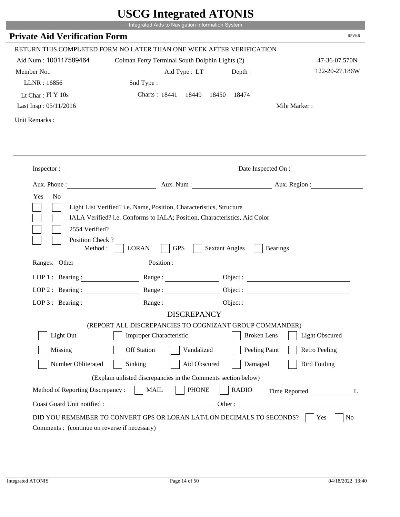|                                                                 | Integrated Aids to Navigation Information System                                                                                                                                                                                                                                                                                                                 |                       |                              |
|-----------------------------------------------------------------|------------------------------------------------------------------------------------------------------------------------------------------------------------------------------------------------------------------------------------------------------------------------------------------------------------------------------------------------------------------|-----------------------|------------------------------|
| <b>Private Aid Verification Form</b>                            |                                                                                                                                                                                                                                                                                                                                                                  |                       | <b>RPVER</b>                 |
|                                                                 | RETURN THIS COMPLETED FORM NO LATER THAN ONE WEEK AFTER VERIFICATION                                                                                                                                                                                                                                                                                             |                       |                              |
| Aid Num: 100117589464                                           | Colman Ferry Terminal South Dolphin Lights (2)                                                                                                                                                                                                                                                                                                                   |                       | 47-36-07.570N                |
| Member No.:                                                     | Aid Type: LT                                                                                                                                                                                                                                                                                                                                                     | Depth:                | 122-20-27.186W               |
| LLNR: 16856                                                     | Snd Type:                                                                                                                                                                                                                                                                                                                                                        |                       |                              |
| Lt Char: $FI Y 10s$                                             | Charts: 18441 18449 18450 18474                                                                                                                                                                                                                                                                                                                                  |                       |                              |
| Last Insp: 05/11/2016                                           |                                                                                                                                                                                                                                                                                                                                                                  |                       | Mile Marker:                 |
| Unit Remarks:                                                   |                                                                                                                                                                                                                                                                                                                                                                  |                       |                              |
|                                                                 | Inspector:                                                                                                                                                                                                                                                                                                                                                       |                       | Date Inspected On :          |
|                                                                 | Aux. Phone: Aux. Aux. Num : Aux. Aux. Region :                                                                                                                                                                                                                                                                                                                   |                       |                              |
| 2554 Verified?                                                  | Light List Verified? i.e. Name, Position, Characteristics, Structure<br>IALA Verified? i.e. Conforms to IALA; Position, Characteristics, Aid Color                                                                                                                                                                                                               |                       |                              |
| Position Check?<br>Method :<br>Ranges: Other                    | <b>GPS</b><br><b>LORAN</b>                                                                                                                                                                                                                                                                                                                                       | <b>Sextant Angles</b> | <b>Bearings</b>              |
|                                                                 |                                                                                                                                                                                                                                                                                                                                                                  |                       |                              |
|                                                                 | LOP 1 : Bearing : Range :                                                                                                                                                                                                                                                                                                                                        |                       | Object:                      |
| LOP 2 : Bearing :                                               | $Range: \begin{tabular}{ c c } \hline \rule{0.3cm}{.04cm} \rule{0.3cm}{.04cm} \rule{0.3cm}{.04cm} \rule{0.3cm}{.04cm} \rule{0.3cm}{.04cm} \rule{0.3cm}{.04cm} \rule{0.3cm}{.04cm} \rule{0.3cm}{.04cm} \rule{0.3cm}{.04cm} \rule{0.3cm}{.04cm} \rule{0.3cm}{.04cm} \rule{0.3cm}{.04cm} \rule{0.3cm}{.04cm} \rule{0.3cm}{.04cm} \rule{0.3cm}{.04cm} \rule{0.3cm}{$ |                       |                              |
|                                                                 | LOP 3: Bearing: Range: Range: Object:<br><b>DISCREPANCY</b>                                                                                                                                                                                                                                                                                                      |                       |                              |
|                                                                 | (REPORT ALL DISCREPANCIES TO COGNIZANT GROUP COMMANDER)                                                                                                                                                                                                                                                                                                          |                       |                              |
| Light Out                                                       | Improper Characteristic                                                                                                                                                                                                                                                                                                                                          | <b>Broken</b> Lens    | <b>Light Obscured</b>        |
| Missing                                                         | <b>Off Station</b><br>Vandalized                                                                                                                                                                                                                                                                                                                                 | Peeling Paint         | <b>Retro Peeling</b>         |
| Number Obliterated                                              | Sinking<br>Aid Obscured                                                                                                                                                                                                                                                                                                                                          | Damaged               | <b>Bird Fouling</b>          |
|                                                                 |                                                                                                                                                                                                                                                                                                                                                                  |                       |                              |
|                                                                 | (Explain unlisted discrepancies in the Comments section below)                                                                                                                                                                                                                                                                                                   |                       |                              |
| Method of Reporting Discrepancy:<br>Coast Guard Unit notified : | <b>PHONE</b><br><b>MAIL</b>                                                                                                                                                                                                                                                                                                                                      | <b>RADIO</b>          | Time Reported<br>L<br>Other: |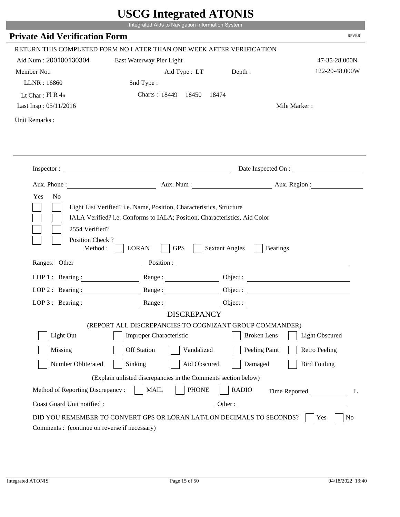|                                                                 | UDUU IIIIU ARUU ATUNID<br>Integrated Aids to Navigation Information System                                                                         |                                          |                        |
|-----------------------------------------------------------------|----------------------------------------------------------------------------------------------------------------------------------------------------|------------------------------------------|------------------------|
| <b>Private Aid Verification Form</b>                            |                                                                                                                                                    |                                          | <b>RPVER</b>           |
|                                                                 |                                                                                                                                                    |                                          |                        |
|                                                                 | RETURN THIS COMPLETED FORM NO LATER THAN ONE WEEK AFTER VERIFICATION                                                                               |                                          |                        |
| Aid Num: 200100130304                                           | East Waterway Pier Light                                                                                                                           |                                          | 47-35-28.000N          |
| Member No.:                                                     | Aid Type : LT Depth :                                                                                                                              |                                          | 122-20-48.000W         |
| LLNR: 16860                                                     | Snd Type:                                                                                                                                          |                                          |                        |
| Lt Char: Fl R 4s                                                | Charts: 18449 18450<br>18474                                                                                                                       |                                          |                        |
| Last Insp: 05/11/2016                                           |                                                                                                                                                    |                                          | Mile Marker:           |
| Unit Remarks:                                                   |                                                                                                                                                    |                                          |                        |
|                                                                 |                                                                                                                                                    |                                          |                        |
|                                                                 | Inspector:                                                                                                                                         |                                          | Date Inspected On :    |
| Aux. Phone :                                                    |                                                                                                                                                    |                                          | Aux. Num: Aux. Region: |
| Yes<br>N <sub>o</sub>                                           | Light List Verified? i.e. Name, Position, Characteristics, Structure<br>IALA Verified? i.e. Conforms to IALA; Position, Characteristics, Aid Color |                                          |                        |
| 2554 Verified?<br>Position Check?<br>Method :<br>Ranges: Other  | <b>GPS</b><br><b>LORAN</b>                                                                                                                         | <b>Sextant Angles</b><br><b>Bearings</b> |                        |
|                                                                 | Position : The Common Section of the Common Section 2014 and 2014 and 2014 and 2014 and 2014 and 2014 and 2014                                     |                                          |                        |
| LOP 1 : Bearing :                                               |                                                                                                                                                    |                                          | Object :               |
| $LOP$ 2 : Bearing :                                             | Range :                                                                                                                                            |                                          |                        |
| LOP 3: Bearing :                                                | Range:                                                                                                                                             |                                          |                        |
|                                                                 | <b>DISCREPANCY</b>                                                                                                                                 |                                          |                        |
| Light Out                                                       | (REPORT ALL DISCREPANCIES TO COGNIZANT GROUP COMMANDER)<br><b>Improper Characteristic</b>                                                          | <b>Broken</b> Lens                       | <b>Light Obscured</b>  |
|                                                                 |                                                                                                                                                    |                                          |                        |
| Missing                                                         | <b>Off Station</b><br>Vandalized                                                                                                                   | Peeling Paint                            | <b>Retro Peeling</b>   |
| Number Obliterated                                              | Sinking<br>Aid Obscured                                                                                                                            | Damaged                                  | <b>Bird Fouling</b>    |
|                                                                 | (Explain unlisted discrepancies in the Comments section below)                                                                                     |                                          |                        |
| Method of Reporting Discrepancy:<br>Coast Guard Unit notified : | <b>PHONE</b><br><b>MAIL</b>                                                                                                                        | <b>RADIO</b><br>Other:                   | Time Reported<br>L     |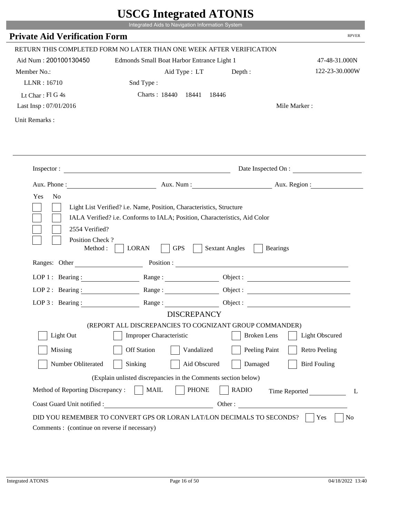|                                                      | Integrated Aids to Navigation Information System                                                                                                   |                                          |                       |
|------------------------------------------------------|----------------------------------------------------------------------------------------------------------------------------------------------------|------------------------------------------|-----------------------|
| <b>Private Aid Verification Form</b>                 |                                                                                                                                                    |                                          | <b>RPVER</b>          |
|                                                      | RETURN THIS COMPLETED FORM NO LATER THAN ONE WEEK AFTER VERIFICATION                                                                               |                                          |                       |
| Aid Num: 200100130450                                | Edmonds Small Boat Harbor Entrance Light 1                                                                                                         |                                          | 47-48-31.000N         |
| Member No.:                                          | Aid Type: LT                                                                                                                                       | Depth :                                  | 122-23-30.000W        |
| LLNR: 16710                                          | Snd Type:                                                                                                                                          |                                          |                       |
| Lt Char: Fl G 4s                                     | Charts: 18440 18441 18446                                                                                                                          |                                          |                       |
| Last Insp: 07/01/2016                                |                                                                                                                                                    |                                          | Mile Marker:          |
| Unit Remarks:                                        |                                                                                                                                                    |                                          |                       |
|                                                      |                                                                                                                                                    |                                          |                       |
|                                                      | Inspector:                                                                                                                                         |                                          | Date Inspected On :   |
|                                                      | Aux. Phone: Aux. Aux. Num : Aux. Aux. Region :                                                                                                     |                                          |                       |
| Yes<br>N <sub>o</sub><br>2554 Verified?              | Light List Verified? i.e. Name, Position, Characteristics, Structure<br>IALA Verified? i.e. Conforms to IALA; Position, Characteristics, Aid Color |                                          |                       |
| Position Check?<br>Method : $\vert$<br>Ranges: Other | <b>GPS</b><br><b>LORAN</b>                                                                                                                         | <b>Sextant Angles</b><br><b>Bearings</b> |                       |
|                                                      |                                                                                                                                                    |                                          |                       |
|                                                      | LOP 1 : Bearing : Range :                                                                                                                          |                                          | Object:               |
| LOP $2:$ Bearing :                                   |                                                                                                                                                    |                                          |                       |
|                                                      | LOP 3: Bearing: Range: Range: Object:<br><b>DISCREPANCY</b>                                                                                        |                                          |                       |
|                                                      | (REPORT ALL DISCREPANCIES TO COGNIZANT GROUP COMMANDER)                                                                                            |                                          |                       |
| Light Out                                            | Improper Characteristic                                                                                                                            | <b>Broken</b> Lens                       | <b>Light Obscured</b> |
| Missing                                              | <b>Off Station</b><br>Vandalized                                                                                                                   | Peeling Paint                            | <b>Retro Peeling</b>  |
| Number Obliterated                                   | Sinking<br>Aid Obscured                                                                                                                            | Damaged                                  | <b>Bird Fouling</b>   |
|                                                      | (Explain unlisted discrepancies in the Comments section below)                                                                                     |                                          |                       |
| Method of Reporting Discrepancy:                     | <b>PHONE</b><br><b>MAIL</b>                                                                                                                        | <b>RADIO</b>                             | Time Reported<br>L    |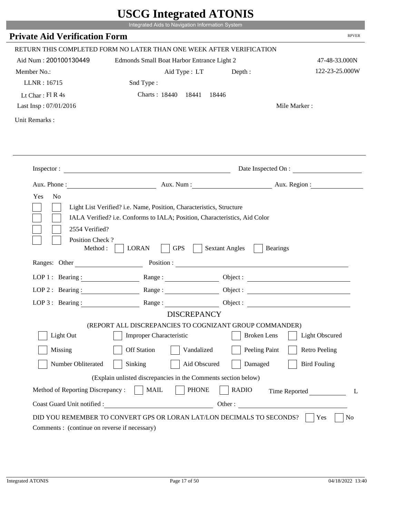|                                                      | Integrated Aids to Navigation Information System                                                                                                   |                                          |                       |
|------------------------------------------------------|----------------------------------------------------------------------------------------------------------------------------------------------------|------------------------------------------|-----------------------|
| <b>Private Aid Verification Form</b>                 |                                                                                                                                                    |                                          | <b>RPVER</b>          |
|                                                      | RETURN THIS COMPLETED FORM NO LATER THAN ONE WEEK AFTER VERIFICATION                                                                               |                                          |                       |
| Aid Num: 200100130449                                | Edmonds Small Boat Harbor Entrance Light 2                                                                                                         |                                          | 47-48-33.000N         |
| Member No.:                                          | Aid Type: LT                                                                                                                                       | Depth :                                  | 122-23-25.000W        |
| LLNR: 16715                                          | Snd Type:                                                                                                                                          |                                          |                       |
| Lt Char: $FI R 4s$                                   | Charts: 18440 18441 18446                                                                                                                          |                                          |                       |
| Last Insp: 07/01/2016                                |                                                                                                                                                    |                                          | Mile Marker:          |
| Unit Remarks:                                        |                                                                                                                                                    |                                          |                       |
|                                                      |                                                                                                                                                    |                                          |                       |
|                                                      | Inspector:                                                                                                                                         |                                          | Date Inspected On :   |
|                                                      | Aux. Phone: Aux. Aux. Num : Aux. Aux. Region :                                                                                                     |                                          |                       |
| Yes<br>N <sub>o</sub><br>2554 Verified?              | Light List Verified? i.e. Name, Position, Characteristics, Structure<br>IALA Verified? i.e. Conforms to IALA; Position, Characteristics, Aid Color |                                          |                       |
| Position Check?<br>Method : $\vert$<br>Ranges: Other | <b>GPS</b><br><b>LORAN</b>                                                                                                                         | <b>Sextant Angles</b><br><b>Bearings</b> |                       |
|                                                      | LOP 1 : Bearing : Range :                                                                                                                          |                                          |                       |
|                                                      |                                                                                                                                                    | Object:                                  |                       |
| LOP $2:$ Bearing :                                   |                                                                                                                                                    |                                          |                       |
|                                                      | LOP 3: Bearing: Range: Object:<br><b>DISCREPANCY</b>                                                                                               |                                          |                       |
|                                                      | (REPORT ALL DISCREPANCIES TO COGNIZANT GROUP COMMANDER)                                                                                            |                                          |                       |
| Light Out                                            | Improper Characteristic                                                                                                                            | <b>Broken</b> Lens                       | <b>Light Obscured</b> |
| Missing                                              | <b>Off Station</b><br>Vandalized                                                                                                                   | Peeling Paint                            | <b>Retro Peeling</b>  |
| Number Obliterated                                   | Sinking<br>Aid Obscured                                                                                                                            | Damaged                                  | <b>Bird Fouling</b>   |
|                                                      | (Explain unlisted discrepancies in the Comments section below)                                                                                     |                                          |                       |
| Method of Reporting Discrepancy:                     | <b>PHONE</b><br><b>MAIL</b>                                                                                                                        | <b>RADIO</b>                             | Time Reported<br>L    |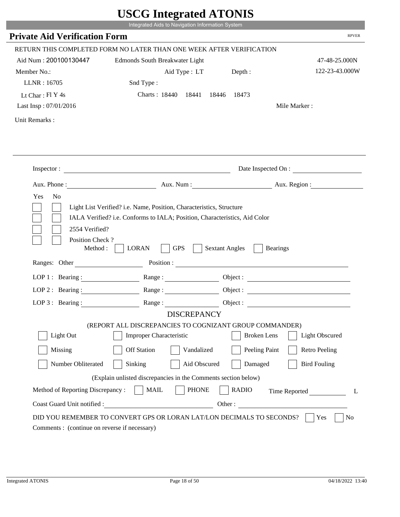|                                              | UDUU IIIItgi altu ATUNID                                                                                                                           |                       |                        |
|----------------------------------------------|----------------------------------------------------------------------------------------------------------------------------------------------------|-----------------------|------------------------|
|                                              | Integrated Aids to Navigation Information System                                                                                                   |                       |                        |
| <b>Private Aid Verification Form</b>         |                                                                                                                                                    |                       | <b>RPVER</b>           |
|                                              | RETURN THIS COMPLETED FORM NO LATER THAN ONE WEEK AFTER VERIFICATION                                                                               |                       |                        |
| Aid Num: 200100130447                        | Edmonds South Breakwater Light                                                                                                                     |                       | 47-48-25.000N          |
| Member No.:                                  | Aid Type : LT                                                                                                                                      | Depth:                | 122-23-43.000W         |
| LLNR: 16705                                  | Snd Type:                                                                                                                                          |                       |                        |
| Lt Char: Fl Y 4s                             | Charts: 18440 18441                                                                                                                                | 18446 18473           |                        |
| Last Insp: 07/01/2016                        |                                                                                                                                                    |                       | Mile Marker:           |
| Unit Remarks:                                |                                                                                                                                                    |                       |                        |
|                                              |                                                                                                                                                    |                       |                        |
|                                              | Inspector:                                                                                                                                         |                       | Date Inspected On :    |
|                                              |                                                                                                                                                    |                       | Aux. Num: Aux. Region: |
| Yes<br>N <sub>o</sub><br>2554 Verified?      | Light List Verified? i.e. Name, Position, Characteristics, Structure<br>IALA Verified? i.e. Conforms to IALA; Position, Characteristics, Aid Color |                       |                        |
| Position Check?<br>Method :<br>Ranges: Other | <b>GPS</b><br><b>LORAN</b>                                                                                                                         | <b>Sextant Angles</b> | <b>Bearings</b>        |
|                                              |                                                                                                                                                    |                       | Position :             |
| LOP 1 : Bearing :                            |                                                                                                                                                    |                       | Object :               |
| LOP $2:$ Bearing :                           |                                                                                                                                                    |                       |                        |
| $LOP$ 3 : Bearing :                          | Range:                                                                                                                                             |                       | Object :               |
|                                              | <b>DISCREPANCY</b>                                                                                                                                 |                       |                        |
| Light Out                                    | (REPORT ALL DISCREPANCIES TO COGNIZANT GROUP COMMANDER)<br><b>Improper Characteristic</b>                                                          | <b>Broken</b> Lens    | <b>Light Obscured</b>  |
|                                              |                                                                                                                                                    |                       |                        |
| Missing                                      | <b>Off Station</b><br>Vandalized                                                                                                                   | Peeling Paint         | <b>Retro Peeling</b>   |
| Number Obliterated                           | Aid Obscured<br>Sinking                                                                                                                            | Damaged               | <b>Bird Fouling</b>    |
|                                              | (Explain unlisted discrepancies in the Comments section below)                                                                                     |                       |                        |
| Method of Reporting Discrepancy:             | <b>PHONE</b><br><b>MAIL</b>                                                                                                                        | <b>RADIO</b>          | Time Reported<br>L     |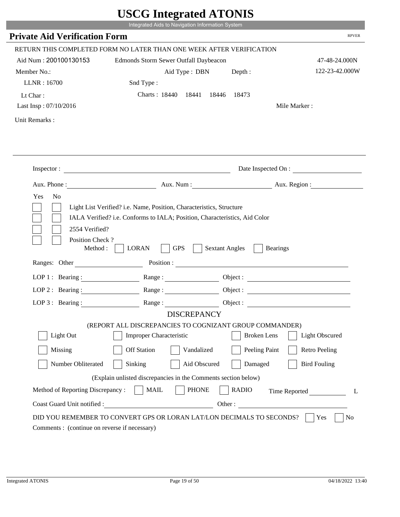|                                                      | $\sim$<br>Integrated Aids to Navigation Information System                                                                                         |                                          |                       |
|------------------------------------------------------|----------------------------------------------------------------------------------------------------------------------------------------------------|------------------------------------------|-----------------------|
| <b>Private Aid Verification Form</b>                 |                                                                                                                                                    |                                          | <b>RPVER</b>          |
|                                                      | RETURN THIS COMPLETED FORM NO LATER THAN ONE WEEK AFTER VERIFICATION                                                                               |                                          |                       |
| Aid Num: 200100130153                                | Edmonds Storm Sewer Outfall Daybeacon                                                                                                              |                                          | 47-48-24.000N         |
| Member No.:                                          | Aid Type : DBN                                                                                                                                     | Depth:                                   | 122-23-42.000W        |
| LLNR: 16700                                          | Snd Type:                                                                                                                                          |                                          |                       |
| Lt Char:                                             | Charts: 18440 18441 18446 18473                                                                                                                    |                                          |                       |
| Last Insp: 07/10/2016                                |                                                                                                                                                    |                                          | Mile Marker:          |
| Unit Remarks:                                        |                                                                                                                                                    |                                          |                       |
|                                                      |                                                                                                                                                    |                                          |                       |
|                                                      | Inspector:                                                                                                                                         |                                          | Date Inspected On :   |
|                                                      | Aux. Phone : Aux. Num : Aux. Num : Aux. Num : Aux. Region :                                                                                        |                                          |                       |
| Yes<br>N <sub>o</sub><br>2554 Verified?              | Light List Verified? i.e. Name, Position, Characteristics, Structure<br>IALA Verified? i.e. Conforms to IALA; Position, Characteristics, Aid Color |                                          |                       |
| Position Check?<br>Method : $\vert$<br>Ranges: Other | <b>LORAN</b><br><b>GPS</b>                                                                                                                         | <b>Sextant Angles</b><br><b>Bearings</b> |                       |
|                                                      |                                                                                                                                                    |                                          |                       |
|                                                      | LOP 1: Bearing: Range:                                                                                                                             |                                          |                       |
| LOP 2: Bearing:                                      |                                                                                                                                                    |                                          |                       |
|                                                      | LOP 3: Bearing: Range: Range: Object:<br><b>DISCREPANCY</b>                                                                                        |                                          |                       |
|                                                      | (REPORT ALL DISCREPANCIES TO COGNIZANT GROUP COMMANDER)                                                                                            |                                          |                       |
| Light Out                                            | Improper Characteristic                                                                                                                            | <b>Broken</b> Lens                       | <b>Light Obscured</b> |
| Missing                                              | <b>Off Station</b><br>Vandalized                                                                                                                   | Peeling Paint                            | <b>Retro Peeling</b>  |
| Number Obliterated                                   | Sinking<br>Aid Obscured                                                                                                                            | Damaged                                  | <b>Bird Fouling</b>   |
|                                                      | (Explain unlisted discrepancies in the Comments section below)                                                                                     |                                          |                       |
| Method of Reporting Discrepancy:                     | <b>MAIL</b><br><b>PHONE</b>                                                                                                                        | <b>RADIO</b>                             | Time Reported<br>L    |

p.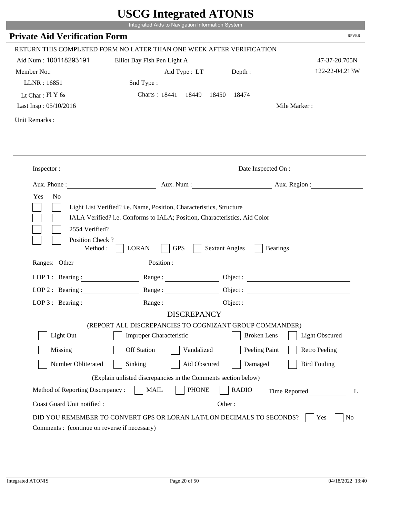|                                                                                                            | UDUU IIIItgi altu ATUNID<br>Integrated Aids to Navigation Information System                                                                       |                       |                        |
|------------------------------------------------------------------------------------------------------------|----------------------------------------------------------------------------------------------------------------------------------------------------|-----------------------|------------------------|
| <b>Private Aid Verification Form</b>                                                                       |                                                                                                                                                    |                       | <b>RPVER</b>           |
|                                                                                                            | RETURN THIS COMPLETED FORM NO LATER THAN ONE WEEK AFTER VERIFICATION                                                                               |                       |                        |
| Aid Num: 100118293191                                                                                      | Elliot Bay Fish Pen Light A                                                                                                                        |                       | 47-37-20.705N          |
| Member No.:                                                                                                | Aid Type : LT                                                                                                                                      | Depth :               | 122-22-04.213W         |
| LLNR: 16851                                                                                                | Snd Type:                                                                                                                                          |                       |                        |
| Lt Char: $FIY$ 6s                                                                                          | Charts: 18441 18449 18450 18474                                                                                                                    |                       |                        |
| Last Insp: 05/10/2016                                                                                      |                                                                                                                                                    |                       | Mile Marker:           |
| Unit Remarks:                                                                                              |                                                                                                                                                    |                       |                        |
|                                                                                                            |                                                                                                                                                    |                       |                        |
|                                                                                                            | Inspector:                                                                                                                                         |                       | Date Inspected On :    |
|                                                                                                            |                                                                                                                                                    |                       | Aux. Num: Aux. Region: |
| Yes<br>N <sub>0</sub><br>2554 Verified?                                                                    | Light List Verified? i.e. Name, Position, Characteristics, Structure<br>IALA Verified? i.e. Conforms to IALA; Position, Characteristics, Aid Color |                       |                        |
| Position Check?<br>Method :                                                                                | <b>GPS</b><br><b>LORAN</b>                                                                                                                         | <b>Sextant Angles</b> | <b>Bearings</b>        |
|                                                                                                            | Ranges: Other Position : Position :                                                                                                                |                       |                        |
| LOP 1 : Bearing : $\frac{1}{\sqrt{1-\frac{1}{2}} \cdot \frac{1}{\sqrt{1-\frac{1}{2}} \cdot \frac{1}{2}}}}$ |                                                                                                                                                    |                       | Object:                |
| LOP $2:$ Bearing :                                                                                         | Range :                                                                                                                                            |                       |                        |
| LOP $3$ : Bearing :                                                                                        | <b>DISCREPANCY</b>                                                                                                                                 | Object :              |                        |
|                                                                                                            | (REPORT ALL DISCREPANCIES TO COGNIZANT GROUP COMMANDER)                                                                                            |                       |                        |
| Light Out                                                                                                  | <b>Improper Characteristic</b>                                                                                                                     | <b>Broken</b> Lens    | <b>Light Obscured</b>  |
| Missing                                                                                                    | <b>Off Station</b><br>Vandalized                                                                                                                   | Peeling Paint         | <b>Retro Peeling</b>   |
| Number Obliterated                                                                                         | Sinking<br>Aid Obscured                                                                                                                            | Damaged               | <b>Bird Fouling</b>    |
|                                                                                                            | (Explain unlisted discrepancies in the Comments section below)                                                                                     |                       |                        |
| Method of Reporting Discrepancy:                                                                           | <b>PHONE</b><br><b>MAIL</b>                                                                                                                        | <b>RADIO</b>          | Time Reported<br>L     |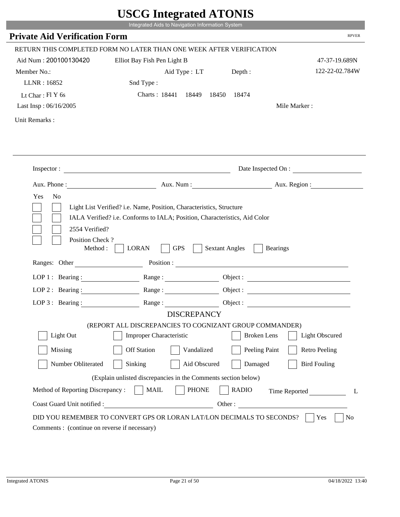|                                                         | UDUU IIIIU ARUU ATUNID<br>Integrated Aids to Navigation Information System                                                                                                                                                     |                                          |                        |
|---------------------------------------------------------|--------------------------------------------------------------------------------------------------------------------------------------------------------------------------------------------------------------------------------|------------------------------------------|------------------------|
| <b>Private Aid Verification Form</b>                    |                                                                                                                                                                                                                                |                                          | <b>RPVER</b>           |
|                                                         |                                                                                                                                                                                                                                |                                          |                        |
|                                                         | RETURN THIS COMPLETED FORM NO LATER THAN ONE WEEK AFTER VERIFICATION                                                                                                                                                           |                                          |                        |
| Aid Num: 200100130420                                   | Elliot Bay Fish Pen Light B                                                                                                                                                                                                    |                                          | 47-37-19.689N          |
| Member No.:                                             | Aid Type : LT                                                                                                                                                                                                                  | Depth:                                   | 122-22-02.784W         |
| LLNR: 16852                                             | Snd Type:                                                                                                                                                                                                                      |                                          |                        |
| Lt Char: $FIY$ 6s                                       | Charts: 18441 18449<br>18450                                                                                                                                                                                                   | 18474                                    |                        |
| Last Insp: 06/16/2005                                   |                                                                                                                                                                                                                                |                                          | Mile Marker:           |
| Unit Remarks:                                           |                                                                                                                                                                                                                                |                                          |                        |
|                                                         |                                                                                                                                                                                                                                |                                          |                        |
|                                                         | Inspector:                                                                                                                                                                                                                     |                                          | Date Inspected On :    |
|                                                         |                                                                                                                                                                                                                                |                                          | Aux. Num: Aux. Region: |
| Aux. Phone :<br>Yes<br>N <sub>o</sub><br>2554 Verified? | Light List Verified? i.e. Name, Position, Characteristics, Structure<br>IALA Verified? i.e. Conforms to IALA; Position, Characteristics, Aid Color                                                                             |                                          |                        |
| Position Check?<br>Method:                              | <b>GPS</b><br><b>LORAN</b>                                                                                                                                                                                                     | <b>Sextant Angles</b><br><b>Bearings</b> |                        |
| Ranges: Other                                           | Position : The Contract of the Contract of the Contract of the Contract of the Contract of the Contract of the Contract of the Contract of the Contract of the Contract of the Contract of the Contract of the Contract of the |                                          |                        |
| LOP 1 : Bearing :                                       |                                                                                                                                                                                                                                |                                          | Object :               |
| $LOP$ 2 : Bearing :                                     | Range :                                                                                                                                                                                                                        |                                          |                        |
| LOP $3$ : Bearing :                                     | Range:                                                                                                                                                                                                                         |                                          |                        |
|                                                         | <b>DISCREPANCY</b>                                                                                                                                                                                                             |                                          |                        |
|                                                         | (REPORT ALL DISCREPANCIES TO COGNIZANT GROUP COMMANDER)                                                                                                                                                                        |                                          |                        |
| Light Out                                               | <b>Improper Characteristic</b>                                                                                                                                                                                                 | <b>Broken</b> Lens                       | <b>Light Obscured</b>  |
| Missing                                                 | <b>Off Station</b><br>Vandalized                                                                                                                                                                                               | Peeling Paint                            | <b>Retro Peeling</b>   |
| Number Obliterated                                      | Sinking<br>Aid Obscured                                                                                                                                                                                                        | Damaged                                  | <b>Bird Fouling</b>    |
|                                                         | (Explain unlisted discrepancies in the Comments section below)                                                                                                                                                                 |                                          |                        |
| Method of Reporting Discrepancy:                        | <b>PHONE</b><br><b>MAIL</b>                                                                                                                                                                                                    | <b>RADIO</b>                             | Time Reported<br>L     |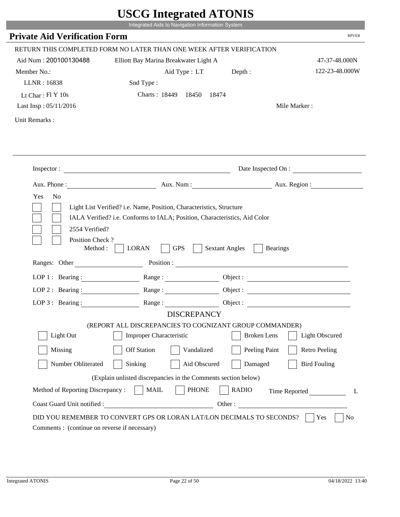|                                              | UDUU IIIItgi altu ATUNID<br>Integrated Aids to Navigation Information System |                                                        |                                 |
|----------------------------------------------|------------------------------------------------------------------------------|--------------------------------------------------------|---------------------------------|
| <b>Private Aid Verification Form</b>         |                                                                              |                                                        | <b>RPVER</b>                    |
|                                              |                                                                              |                                                        |                                 |
|                                              | RETURN THIS COMPLETED FORM NO LATER THAN ONE WEEK AFTER VERIFICATION         |                                                        |                                 |
| Aid Num: 200100130488                        | Elliott Bay Marina Breakwater Light A                                        |                                                        | 47-37-48.000N<br>122-23-48.000W |
| Member No.:<br>LLNR: 16838                   | Aid Type : LT Depth :<br>Snd Type:                                           |                                                        |                                 |
| Lt Char: Fl Y 10s                            | Charts: 18449 18450                                                          | 18474                                                  |                                 |
| Last Insp: 05/11/2016                        |                                                                              |                                                        | Mile Marker:                    |
|                                              |                                                                              |                                                        |                                 |
| Unit Remarks:                                |                                                                              |                                                        |                                 |
|                                              |                                                                              |                                                        |                                 |
|                                              |                                                                              |                                                        |                                 |
|                                              | Inspector:                                                                   |                                                        | Date Inspected On :             |
|                                              |                                                                              |                                                        | Aux. Num : Aux. Region :        |
| Position Check?<br>Method :<br>Ranges: Other | <b>GPS</b><br><b>LORAN</b>                                                   | <b>Sextant Angles</b><br><b>Bearings</b><br>Position : |                                 |
| LOP 1 : Bearing :                            |                                                                              |                                                        |                                 |
| LOP $2:$ Bearing :                           |                                                                              |                                                        | Object :                        |
| $LOP 3:$ Bearing :                           | Range:                                                                       |                                                        |                                 |
|                                              | <b>DISCREPANCY</b>                                                           |                                                        | Object :                        |
|                                              | (REPORT ALL DISCREPANCIES TO COGNIZANT GROUP COMMANDER)                      |                                                        |                                 |
| Light Out                                    | <b>Improper Characteristic</b>                                               | <b>Broken</b> Lens                                     | <b>Light Obscured</b>           |
| Missing                                      | <b>Off Station</b><br>Vandalized                                             | Peeling Paint                                          | <b>Retro Peeling</b>            |
| Number Obliterated                           | Aid Obscured<br>Sinking                                                      | Damaged                                                | <b>Bird Fouling</b>             |
|                                              | (Explain unlisted discrepancies in the Comments section below)               |                                                        |                                 |
| Method of Reporting Discrepancy:             | <b>PHONE</b><br><b>MAIL</b>                                                  | <b>RADIO</b>                                           | Time Reported<br>L              |
| Coast Guard Unit notified :                  |                                                                              | Other:                                                 |                                 |
|                                              |                                                                              |                                                        |                                 |
|                                              | DID YOU REMEMBER TO CONVERT GPS OR LORAN LAT/LON DECIMALS TO SECONDS?        |                                                        | No<br>Yes                       |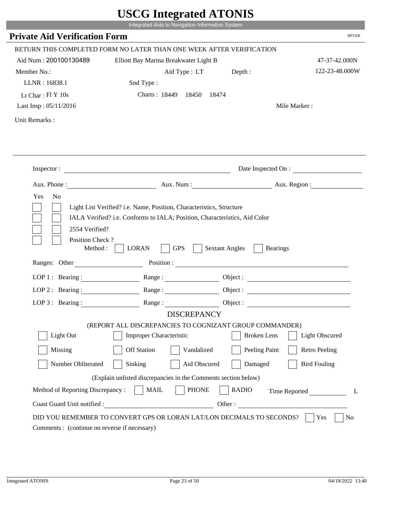|                                                                 | UDUU IIIItgi altu ATUNID<br>Integrated Aids to Navigation Information System                  |                       |                                 |
|-----------------------------------------------------------------|-----------------------------------------------------------------------------------------------|-----------------------|---------------------------------|
| <b>Private Aid Verification Form</b>                            |                                                                                               |                       | <b>RPVER</b>                    |
|                                                                 |                                                                                               |                       |                                 |
|                                                                 | RETURN THIS COMPLETED FORM NO LATER THAN ONE WEEK AFTER VERIFICATION                          |                       |                                 |
| Aid Num: 200100130489                                           | Elliott Bay Marina Breakwater Light B                                                         |                       | 47-37-42.000N<br>122-23-48.000W |
| Member No.:<br>LLNR: 16838.1                                    | Aid Type : LT Depth :<br>Snd Type:                                                            |                       |                                 |
| Lt Char: Fl Y 10s                                               | Charts: 18449 18450                                                                           | 18474                 |                                 |
| Last Insp: 05/11/2016                                           |                                                                                               |                       | Mile Marker:                    |
|                                                                 |                                                                                               |                       |                                 |
| Unit Remarks:                                                   |                                                                                               |                       |                                 |
|                                                                 |                                                                                               |                       |                                 |
|                                                                 |                                                                                               |                       |                                 |
|                                                                 | Inspector:                                                                                    |                       | Date Inspected On :             |
|                                                                 |                                                                                               |                       | Aux. Num: Aux. Region:          |
| 2554 Verified?                                                  | IALA Verified? i.e. Conforms to IALA; Position, Characteristics, Aid Color                    |                       |                                 |
| Position Check?<br>Method :                                     | <b>GPS</b><br><b>LORAN</b>                                                                    | <b>Sextant Angles</b> | <b>Bearings</b>                 |
| Ranges: Other                                                   | Position :                                                                                    |                       |                                 |
| LOP 1 : Bearing :                                               |                                                                                               |                       |                                 |
| LOP $2:$ Bearing :                                              |                                                                                               |                       | Object :                        |
| $LOP$ 3 : Bearing :                                             | Range:                                                                                        |                       | Object :                        |
|                                                                 | <b>DISCREPANCY</b><br>(REPORT ALL DISCREPANCIES TO COGNIZANT GROUP COMMANDER)                 |                       |                                 |
| Light Out                                                       | <b>Improper Characteristic</b>                                                                | <b>Broken</b> Lens    | <b>Light Obscured</b>           |
| Missing                                                         | <b>Off Station</b><br>Vandalized                                                              | Peeling Paint         | <b>Retro Peeling</b>            |
| Number Obliterated                                              | Aid Obscured<br>Sinking                                                                       | Damaged               | <b>Bird Fouling</b>             |
|                                                                 |                                                                                               |                       |                                 |
|                                                                 | (Explain unlisted discrepancies in the Comments section below)<br><b>PHONE</b><br><b>MAIL</b> | <b>RADIO</b>          |                                 |
| Method of Reporting Discrepancy:<br>Coast Guard Unit notified : |                                                                                               |                       | Time Reported<br>L<br>Other:    |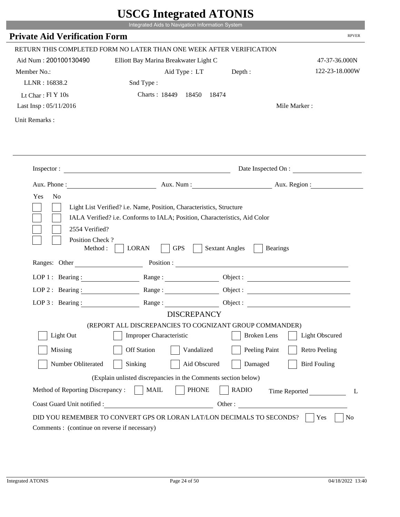|                                                                                                                                   | UDUU IIIItgi altu ATUNID<br>Integrated Aids to Navigation Information System                                                                       |                       |                        |
|-----------------------------------------------------------------------------------------------------------------------------------|----------------------------------------------------------------------------------------------------------------------------------------------------|-----------------------|------------------------|
| <b>Private Aid Verification Form</b>                                                                                              |                                                                                                                                                    |                       | <b>RPVER</b>           |
|                                                                                                                                   | RETURN THIS COMPLETED FORM NO LATER THAN ONE WEEK AFTER VERIFICATION                                                                               |                       |                        |
| Aid Num: 200100130490                                                                                                             | Elliott Bay Marina Breakwater Light C                                                                                                              |                       | 47-37-36.000N          |
| Member No.:                                                                                                                       | Aid Type : LT Depth :                                                                                                                              |                       | 122-23-18.000W         |
| LLNR: 16838.2                                                                                                                     | Snd Type:                                                                                                                                          |                       |                        |
| Lt Char: Fl Y 10s                                                                                                                 | Charts: 18449 18450                                                                                                                                | 18474                 |                        |
| Last Insp: 05/11/2016                                                                                                             |                                                                                                                                                    |                       | Mile Marker:           |
| Unit Remarks:                                                                                                                     |                                                                                                                                                    |                       |                        |
|                                                                                                                                   |                                                                                                                                                    |                       |                        |
|                                                                                                                                   |                                                                                                                                                    |                       |                        |
|                                                                                                                                   | Inspector:                                                                                                                                         |                       | Date Inspected On :    |
|                                                                                                                                   |                                                                                                                                                    |                       | Aux. Num: Aux. Region: |
| Yes<br>N <sub>0</sub><br>2554 Verified?<br>Position Check?                                                                        | Light List Verified? i.e. Name, Position, Characteristics, Structure<br>IALA Verified? i.e. Conforms to IALA; Position, Characteristics, Aid Color |                       |                        |
| Method :                                                                                                                          | <b>GPS</b><br><b>LORAN</b><br>Ranges: Other Position : Position :                                                                                  | <b>Sextant Angles</b> | <b>Bearings</b>        |
|                                                                                                                                   |                                                                                                                                                    |                       |                        |
| LOP 1 : Bearing : $\frac{1}{\sqrt{1-\frac{1}{2}} \cdot \frac{1}{\sqrt{1-\frac{1}{2}} \cdot \frac{1}{2}}}}$<br>$LOP$ 2 : Bearing : |                                                                                                                                                    |                       |                        |
| LOP $3$ : Bearing :                                                                                                               | Range :                                                                                                                                            | Object :              |                        |
|                                                                                                                                   | <b>DISCREPANCY</b>                                                                                                                                 |                       |                        |
|                                                                                                                                   | (REPORT ALL DISCREPANCIES TO COGNIZANT GROUP COMMANDER)                                                                                            |                       |                        |
| Light Out                                                                                                                         | <b>Improper Characteristic</b>                                                                                                                     | <b>Broken</b> Lens    | <b>Light Obscured</b>  |
| Missing                                                                                                                           | <b>Off Station</b><br>Vandalized                                                                                                                   | Peeling Paint         | <b>Retro Peeling</b>   |
| Number Obliterated                                                                                                                | Sinking<br>Aid Obscured                                                                                                                            | Damaged               | <b>Bird Fouling</b>    |
|                                                                                                                                   | (Explain unlisted discrepancies in the Comments section below)                                                                                     |                       |                        |
| Method of Reporting Discrepancy:                                                                                                  | <b>PHONE</b><br><b>MAIL</b>                                                                                                                        | <b>RADIO</b>          | Time Reported<br>L     |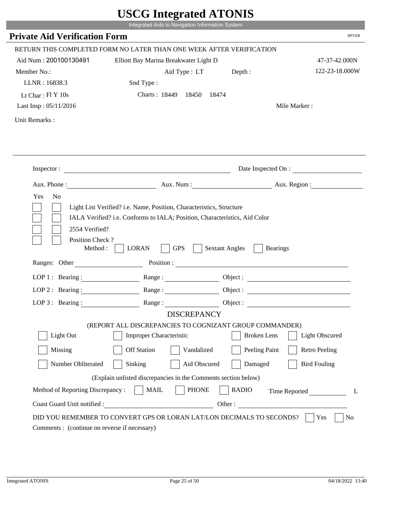|                                                                                                                                   | UDUU IIIItgi altu ATUNID<br>Integrated Aids to Navigation Information System                                                                       |                       |                        |
|-----------------------------------------------------------------------------------------------------------------------------------|----------------------------------------------------------------------------------------------------------------------------------------------------|-----------------------|------------------------|
| <b>Private Aid Verification Form</b>                                                                                              |                                                                                                                                                    |                       | <b>RPVER</b>           |
|                                                                                                                                   | RETURN THIS COMPLETED FORM NO LATER THAN ONE WEEK AFTER VERIFICATION                                                                               |                       |                        |
| Aid Num: 200100130491                                                                                                             | Elliott Bay Marina Breakwater Light D                                                                                                              |                       | 47-37-42.000N          |
| Member No.:                                                                                                                       | Aid Type : LT Depth :                                                                                                                              |                       | 122-23-18.000W         |
| LLNR: 16838.3                                                                                                                     | Snd Type:                                                                                                                                          |                       |                        |
| Lt Char: Fl Y 10s                                                                                                                 | Charts: 18449 18450                                                                                                                                | 18474                 |                        |
| Last Insp: 05/11/2016                                                                                                             |                                                                                                                                                    |                       | Mile Marker:           |
| Unit Remarks:                                                                                                                     |                                                                                                                                                    |                       |                        |
|                                                                                                                                   |                                                                                                                                                    |                       |                        |
|                                                                                                                                   |                                                                                                                                                    |                       |                        |
|                                                                                                                                   | Inspector:                                                                                                                                         |                       | Date Inspected On :    |
|                                                                                                                                   |                                                                                                                                                    |                       | Aux. Num: Aux. Region: |
| Yes<br>N <sub>0</sub><br>2554 Verified?<br>Position Check?                                                                        | Light List Verified? i.e. Name, Position, Characteristics, Structure<br>IALA Verified? i.e. Conforms to IALA; Position, Characteristics, Aid Color |                       |                        |
| Method :                                                                                                                          | <b>GPS</b><br><b>LORAN</b><br>Ranges: Other Position : Position :                                                                                  | <b>Sextant Angles</b> | <b>Bearings</b>        |
|                                                                                                                                   |                                                                                                                                                    |                       |                        |
| LOP 1 : Bearing : $\frac{1}{\sqrt{1-\frac{1}{2}} \cdot \frac{1}{\sqrt{1-\frac{1}{2}} \cdot \frac{1}{2}}}}$<br>$LOP$ 2 : Bearing : |                                                                                                                                                    |                       |                        |
| LOP $3$ : Bearing :                                                                                                               | Range :                                                                                                                                            | Object :              |                        |
|                                                                                                                                   | <b>DISCREPANCY</b>                                                                                                                                 |                       |                        |
|                                                                                                                                   | (REPORT ALL DISCREPANCIES TO COGNIZANT GROUP COMMANDER)                                                                                            |                       |                        |
| Light Out                                                                                                                         | <b>Improper Characteristic</b>                                                                                                                     | <b>Broken</b> Lens    | <b>Light Obscured</b>  |
| Missing                                                                                                                           | <b>Off Station</b><br>Vandalized                                                                                                                   | Peeling Paint         | <b>Retro Peeling</b>   |
| Number Obliterated                                                                                                                | Sinking<br>Aid Obscured                                                                                                                            | Damaged               | <b>Bird Fouling</b>    |
|                                                                                                                                   | (Explain unlisted discrepancies in the Comments section below)                                                                                     |                       |                        |
| Method of Reporting Discrepancy:                                                                                                  | <b>PHONE</b><br><b>MAIL</b>                                                                                                                        | <b>RADIO</b>          | Time Reported<br>L     |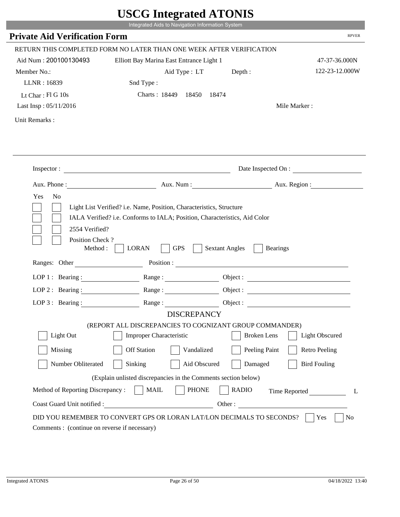|                                                                | Integrated Aids to Navigation Information System                     |                                                        |                          |
|----------------------------------------------------------------|----------------------------------------------------------------------|--------------------------------------------------------|--------------------------|
| <b>Private Aid Verification Form</b>                           |                                                                      |                                                        | <b>RPVER</b>             |
|                                                                | RETURN THIS COMPLETED FORM NO LATER THAN ONE WEEK AFTER VERIFICATION |                                                        |                          |
| Aid Num: 200100130493                                          | Elliott Bay Marina East Entrance Light 1                             |                                                        | 47-37-36.000N            |
| Member No.:                                                    |                                                                      |                                                        | 122-23-12.000W           |
| LLNR: 16839                                                    | Aid Type : LT Depth :<br>Snd Type:                                   |                                                        |                          |
| Lt Char: Fl G 10s                                              | Charts: 18449 18450                                                  | 18474                                                  |                          |
| Last Insp: 05/11/2016                                          |                                                                      |                                                        | Mile Marker:             |
|                                                                |                                                                      |                                                        |                          |
| Unit Remarks:                                                  |                                                                      |                                                        |                          |
|                                                                |                                                                      |                                                        |                          |
|                                                                | Inspector:                                                           |                                                        | Date Inspected On :      |
|                                                                |                                                                      |                                                        | Aux. Num : Aux. Region : |
| 2554 Verified?<br>Position Check?<br>Method :<br>Ranges: Other | <b>GPS</b><br><b>LORAN</b>                                           | <b>Sextant Angles</b><br><b>Bearings</b><br>Position : |                          |
| LOP 1 : Bearing :                                              |                                                                      |                                                        |                          |
| LOP $2:$ Bearing :                                             |                                                                      |                                                        |                          |
| $LOP 3:$ Bearing :                                             | Range:                                                               |                                                        |                          |
|                                                                | <b>DISCREPANCY</b>                                                   |                                                        | Object :                 |
|                                                                | (REPORT ALL DISCREPANCIES TO COGNIZANT GROUP COMMANDER)              |                                                        |                          |
| Light Out                                                      | <b>Improper Characteristic</b>                                       | <b>Broken</b> Lens                                     | <b>Light Obscured</b>    |
| Missing                                                        | <b>Off Station</b><br>Vandalized                                     | Peeling Paint                                          | <b>Retro Peeling</b>     |
|                                                                |                                                                      |                                                        |                          |
| Number Obliterated                                             | Aid Obscured<br>Sinking                                              | Damaged                                                | <b>Bird Fouling</b>      |
|                                                                | (Explain unlisted discrepancies in the Comments section below)       |                                                        |                          |
| Method of Reporting Discrepancy:                               | <b>PHONE</b><br><b>MAIL</b>                                          | <b>RADIO</b>                                           |                          |
| Coast Guard Unit notified :                                    |                                                                      | Other:                                                 | Time Reported<br>L       |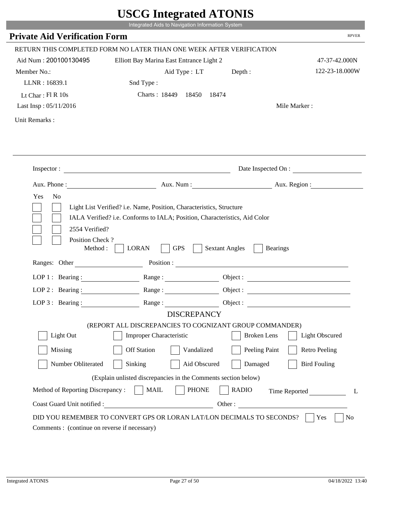|                                                                                                            | UDUU IIIItgi attu ATUNID<br>Integrated Aids to Navigation Information System                                                                       |                       |                        |
|------------------------------------------------------------------------------------------------------------|----------------------------------------------------------------------------------------------------------------------------------------------------|-----------------------|------------------------|
| <b>Private Aid Verification Form</b>                                                                       |                                                                                                                                                    |                       | <b>RPVER</b>           |
|                                                                                                            | RETURN THIS COMPLETED FORM NO LATER THAN ONE WEEK AFTER VERIFICATION                                                                               |                       |                        |
| Aid Num: 200100130495                                                                                      | Elliott Bay Marina East Entrance Light 2                                                                                                           |                       | 47-37-42.000N          |
| Member No.:                                                                                                | Aid Type : LT Depth :                                                                                                                              |                       | 122-23-18.000W         |
| LLNR: 16839.1                                                                                              | Snd Type:                                                                                                                                          |                       |                        |
| Lt Char: $FI R 10s$                                                                                        | Charts: 18449 18450                                                                                                                                | 18474                 |                        |
| Last Insp: 05/11/2016                                                                                      |                                                                                                                                                    |                       | Mile Marker:           |
| Unit Remarks:                                                                                              |                                                                                                                                                    |                       |                        |
|                                                                                                            |                                                                                                                                                    |                       |                        |
|                                                                                                            |                                                                                                                                                    |                       |                        |
|                                                                                                            | Inspector:                                                                                                                                         |                       | Date Inspected On :    |
|                                                                                                            |                                                                                                                                                    |                       | Aux. Num: Aux. Region: |
| Yes<br>N <sub>0</sub><br>2554 Verified?                                                                    | Light List Verified? i.e. Name, Position, Characteristics, Structure<br>IALA Verified? i.e. Conforms to IALA; Position, Characteristics, Aid Color |                       |                        |
| Position Check?<br>Method :                                                                                | <b>GPS</b><br><b>LORAN</b>                                                                                                                         | <b>Sextant Angles</b> | <b>Bearings</b>        |
|                                                                                                            | Ranges: Other Position : Position :                                                                                                                |                       |                        |
| LOP 1 : Bearing : $\frac{1}{\sqrt{1-\frac{1}{2}} \cdot \frac{1}{\sqrt{1-\frac{1}{2}} \cdot \frac{1}{2}}}}$ |                                                                                                                                                    |                       |                        |
| $LOP$ 2 : Bearing :                                                                                        | Range :                                                                                                                                            |                       |                        |
| LOP $3$ : Bearing :                                                                                        | <b>DISCREPANCY</b>                                                                                                                                 | Object :              |                        |
|                                                                                                            | (REPORT ALL DISCREPANCIES TO COGNIZANT GROUP COMMANDER)                                                                                            |                       |                        |
| Light Out                                                                                                  | <b>Improper Characteristic</b>                                                                                                                     | <b>Broken</b> Lens    | <b>Light Obscured</b>  |
| Missing                                                                                                    | <b>Off Station</b><br>Vandalized                                                                                                                   | Peeling Paint         | <b>Retro Peeling</b>   |
| Number Obliterated                                                                                         | Sinking<br>Aid Obscured                                                                                                                            | Damaged               | <b>Bird Fouling</b>    |
|                                                                                                            | (Explain unlisted discrepancies in the Comments section below)                                                                                     |                       |                        |
| Method of Reporting Discrepancy:                                                                           | <b>PHONE</b><br><b>MAIL</b>                                                                                                                        | <b>RADIO</b>          | Time Reported<br>L     |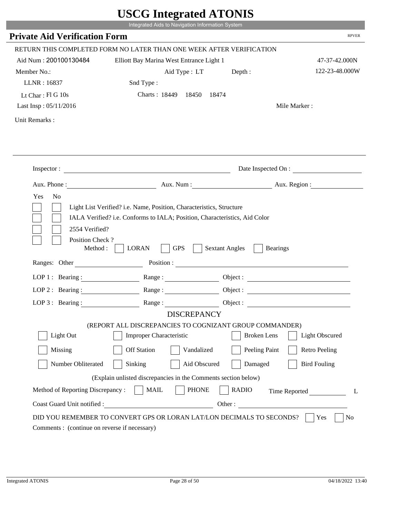|                                                                 | UDUU IIIItgi altu ATUNID<br>Integrated Aids to Navigation Information System                                                                       |                                          |                                 |
|-----------------------------------------------------------------|----------------------------------------------------------------------------------------------------------------------------------------------------|------------------------------------------|---------------------------------|
| <b>Private Aid Verification Form</b>                            |                                                                                                                                                    |                                          | <b>RPVER</b>                    |
|                                                                 |                                                                                                                                                    |                                          |                                 |
|                                                                 | RETURN THIS COMPLETED FORM NO LATER THAN ONE WEEK AFTER VERIFICATION                                                                               |                                          |                                 |
| Aid Num: 200100130484                                           | Elliott Bay Marina West Entrance Light 1                                                                                                           |                                          | 47-37-42.000N<br>122-23-48.000W |
| Member No.:<br>LLNR: 16837                                      | Aid Type : LT Depth :<br>Snd Type:                                                                                                                 |                                          |                                 |
| Lt Char: Fl G 10s                                               | Charts: 18449 18450                                                                                                                                | 18474                                    |                                 |
| Last Insp: 05/11/2016                                           |                                                                                                                                                    |                                          | Mile Marker:                    |
|                                                                 |                                                                                                                                                    |                                          |                                 |
| Unit Remarks:                                                   |                                                                                                                                                    |                                          |                                 |
|                                                                 |                                                                                                                                                    |                                          |                                 |
|                                                                 |                                                                                                                                                    |                                          |                                 |
|                                                                 | Inspector:                                                                                                                                         |                                          | Date Inspected On :             |
|                                                                 |                                                                                                                                                    |                                          | Aux. Num : Aux. Region :        |
| Yes<br>N <sub>o</sub><br>2554 Verified?                         | Light List Verified? i.e. Name, Position, Characteristics, Structure<br>IALA Verified? i.e. Conforms to IALA; Position, Characteristics, Aid Color |                                          |                                 |
| Position Check?<br>Method :                                     | <b>GPS</b><br><b>LORAN</b>                                                                                                                         | <b>Sextant Angles</b><br><b>Bearings</b> |                                 |
| Ranges: Other                                                   |                                                                                                                                                    | Position :                               |                                 |
| LOP 1 : Bearing :                                               |                                                                                                                                                    |                                          |                                 |
| LOP $2:$ Bearing :                                              |                                                                                                                                                    |                                          | Object :                        |
| $LOP$ 3 : Bearing :                                             | Range:                                                                                                                                             |                                          | Object :                        |
|                                                                 | <b>DISCREPANCY</b><br>(REPORT ALL DISCREPANCIES TO COGNIZANT GROUP COMMANDER)                                                                      |                                          |                                 |
| Light Out                                                       | <b>Improper Characteristic</b>                                                                                                                     | <b>Broken</b> Lens                       | <b>Light Obscured</b>           |
| Missing                                                         | <b>Off Station</b><br>Vandalized                                                                                                                   | Peeling Paint                            | <b>Retro Peeling</b>            |
| Number Obliterated                                              | Aid Obscured<br>Sinking                                                                                                                            | Damaged                                  | <b>Bird Fouling</b>             |
|                                                                 |                                                                                                                                                    |                                          |                                 |
|                                                                 | (Explain unlisted discrepancies in the Comments section below)                                                                                     |                                          |                                 |
| Method of Reporting Discrepancy:<br>Coast Guard Unit notified : | <b>PHONE</b><br><b>MAIL</b>                                                                                                                        | <b>RADIO</b>                             | Time Reported<br>L<br>Other:    |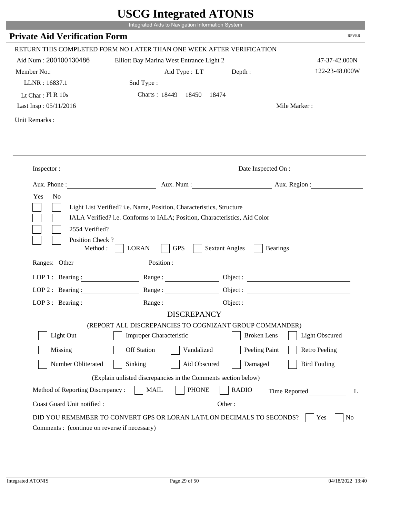|                                                                 | UDUU IIIItgi altu ATUNID<br>Integrated Aids to Navigation Information System                                                                       |                                          |                          |
|-----------------------------------------------------------------|----------------------------------------------------------------------------------------------------------------------------------------------------|------------------------------------------|--------------------------|
| <b>Private Aid Verification Form</b>                            |                                                                                                                                                    |                                          | <b>RPVER</b>             |
|                                                                 |                                                                                                                                                    |                                          |                          |
|                                                                 | RETURN THIS COMPLETED FORM NO LATER THAN ONE WEEK AFTER VERIFICATION                                                                               |                                          |                          |
| Aid Num: 200100130486                                           | Elliott Bay Marina West Entrance Light 2                                                                                                           |                                          | 47-37-42.000N            |
| Member No.:                                                     | Aid Type : LT Depth :                                                                                                                              |                                          | 122-23-48.000W           |
| LLNR: 16837.1                                                   | Snd Type:                                                                                                                                          |                                          |                          |
| Lt Char: Fl R 10s                                               | Charts: 18449 18450                                                                                                                                | 18474                                    |                          |
| Last Insp: 05/11/2016                                           |                                                                                                                                                    |                                          | Mile Marker:             |
| Unit Remarks:                                                   |                                                                                                                                                    |                                          |                          |
|                                                                 |                                                                                                                                                    |                                          |                          |
|                                                                 |                                                                                                                                                    |                                          |                          |
|                                                                 | Inspector:                                                                                                                                         |                                          | Date Inspected On :      |
|                                                                 |                                                                                                                                                    |                                          | Aux. Num : Aux. Region : |
| Yes<br>N <sub>o</sub><br>2554 Verified?                         | Light List Verified? i.e. Name, Position, Characteristics, Structure<br>IALA Verified? i.e. Conforms to IALA; Position, Characteristics, Aid Color |                                          |                          |
| Position Check?<br>Method :<br>Ranges: Other                    | <b>GPS</b><br><b>LORAN</b>                                                                                                                         | <b>Sextant Angles</b><br><b>Bearings</b> |                          |
|                                                                 | Position :                                                                                                                                         |                                          |                          |
| LOP 1 : Bearing :                                               |                                                                                                                                                    |                                          |                          |
| LOP $2:$ Bearing :                                              |                                                                                                                                                    |                                          |                          |
| $LOP$ 3 : Bearing :                                             | Range:                                                                                                                                             |                                          | Object :                 |
|                                                                 | <b>DISCREPANCY</b><br>(REPORT ALL DISCREPANCIES TO COGNIZANT GROUP COMMANDER)                                                                      |                                          |                          |
| Light Out                                                       | <b>Improper Characteristic</b>                                                                                                                     | <b>Broken</b> Lens                       | <b>Light Obscured</b>    |
|                                                                 | <b>Off Station</b>                                                                                                                                 |                                          |                          |
| Missing                                                         | Vandalized                                                                                                                                         | Peeling Paint                            | <b>Retro Peeling</b>     |
| Number Obliterated                                              | Aid Obscured<br>Sinking                                                                                                                            | Damaged                                  | <b>Bird Fouling</b>      |
|                                                                 | (Explain unlisted discrepancies in the Comments section below)                                                                                     |                                          |                          |
| Method of Reporting Discrepancy:<br>Coast Guard Unit notified : | <b>PHONE</b><br><b>MAIL</b>                                                                                                                        | <b>RADIO</b>                             | Time Reported<br>L       |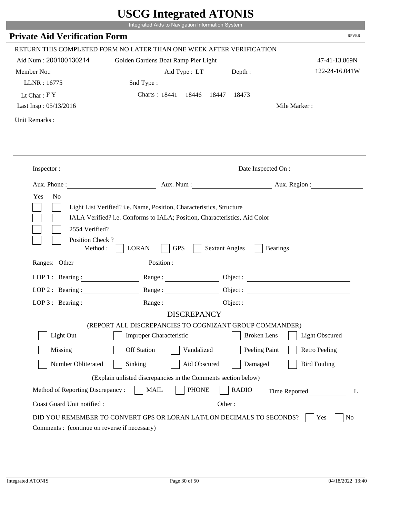|                                         | UDUU IIIIU ARUU ATUNID<br>Integrated Aids to Navigation Information System                                                                         |                       |                          |
|-----------------------------------------|----------------------------------------------------------------------------------------------------------------------------------------------------|-----------------------|--------------------------|
| <b>Private Aid Verification Form</b>    |                                                                                                                                                    |                       | <b>RPVER</b>             |
|                                         |                                                                                                                                                    |                       |                          |
|                                         | RETURN THIS COMPLETED FORM NO LATER THAN ONE WEEK AFTER VERIFICATION                                                                               |                       |                          |
| Aid Num: 200100130214                   | Golden Gardens Boat Ramp Pier Light                                                                                                                |                       | 47-41-13.869N            |
| Member No.:                             | Aid Type : LT Depth :                                                                                                                              |                       | 122-24-16.041W           |
| LLNR: 16775                             | Snd Type:                                                                                                                                          |                       |                          |
| Lt Char: $FY$                           | Charts: 18441 18446 18447                                                                                                                          | 18473                 |                          |
| Last Insp: 05/13/2016                   |                                                                                                                                                    |                       | Mile Marker:             |
| Unit Remarks:                           |                                                                                                                                                    |                       |                          |
|                                         |                                                                                                                                                    |                       |                          |
|                                         | Inspector:                                                                                                                                         |                       | Date Inspected On :      |
|                                         |                                                                                                                                                    |                       | Aux. Num : Aux. Region : |
| Yes<br>N <sub>o</sub><br>2554 Verified? | Light List Verified? i.e. Name, Position, Characteristics, Structure<br>IALA Verified? i.e. Conforms to IALA; Position, Characteristics, Aid Color |                       |                          |
| Position Check?<br>Method :             | <b>GPS</b><br><b>LORAN</b>                                                                                                                         | <b>Sextant Angles</b> | <b>Bearings</b>          |
| Ranges: Other                           |                                                                                                                                                    |                       | Position :               |
| LOP 1 : Bearing :                       |                                                                                                                                                    |                       |                          |
| LOP $2:$ Bearing :                      |                                                                                                                                                    |                       |                          |
| $LOP 3:$ Bearing :                      | Range:                                                                                                                                             |                       | Object :                 |
|                                         | <b>DISCREPANCY</b>                                                                                                                                 |                       |                          |
| Light Out                               | (REPORT ALL DISCREPANCIES TO COGNIZANT GROUP COMMANDER)<br><b>Improper Characteristic</b>                                                          | <b>Broken</b> Lens    | <b>Light Obscured</b>    |
|                                         |                                                                                                                                                    |                       |                          |
| Missing                                 | <b>Off Station</b><br>Vandalized                                                                                                                   | Peeling Paint         | <b>Retro Peeling</b>     |
| Number Obliterated                      | Aid Obscured<br>Sinking                                                                                                                            | Damaged               | <b>Bird Fouling</b>      |
|                                         | (Explain unlisted discrepancies in the Comments section below)                                                                                     |                       |                          |
| Method of Reporting Discrepancy:        | <b>PHONE</b><br><b>MAIL</b>                                                                                                                        | <b>RADIO</b>          | Time Reported<br>L       |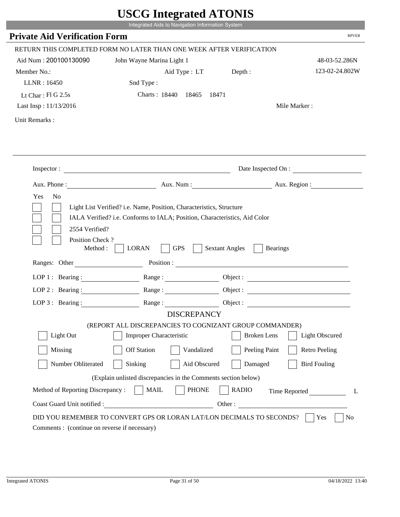|                                              | Integrated Aids to Navigation Information System                      |                       |                          |
|----------------------------------------------|-----------------------------------------------------------------------|-----------------------|--------------------------|
| <b>Private Aid Verification Form</b>         |                                                                       |                       | <b>RPVER</b>             |
|                                              | RETURN THIS COMPLETED FORM NO LATER THAN ONE WEEK AFTER VERIFICATION  |                       |                          |
| Aid Num: 200100130090                        | John Wayne Marina Light 1                                             |                       | 48-03-52.286N            |
| Member No.:                                  | Aid Type : LT Depth :                                                 |                       | 123-02-24.802W           |
| LLNR: 16450                                  | Snd Type:                                                             |                       |                          |
| Lt Char: $FIG$ 2.5s                          | Charts: 18440 18465                                                   | 18471                 |                          |
| Last Insp: 11/13/2016                        |                                                                       |                       | Mile Marker:             |
| Unit Remarks:                                |                                                                       |                       |                          |
|                                              |                                                                       |                       |                          |
|                                              |                                                                       |                       |                          |
|                                              | Inspector:                                                            |                       | Date Inspected On :      |
|                                              |                                                                       |                       | Aux. Num : Aux. Region : |
| Yes<br>N <sub>o</sub>                        |                                                                       |                       |                          |
| 2554 Verified?                               |                                                                       |                       |                          |
| Position Check?<br>Method :<br>Ranges: Other | <b>GPS</b><br><b>LORAN</b>                                            | <b>Sextant Angles</b> | <b>Bearings</b>          |
|                                              | Position :                                                            |                       |                          |
| LOP 1 : Bearing :                            |                                                                       |                       |                          |
| LOP $2:$ Bearing :                           |                                                                       |                       | Object :                 |
| $LOP$ 3 : Bearing :                          | Range:                                                                |                       | Object :                 |
|                                              | <b>DISCREPANCY</b>                                                    |                       |                          |
|                                              | (REPORT ALL DISCREPANCIES TO COGNIZANT GROUP COMMANDER)               |                       |                          |
| Light Out                                    | <b>Improper Characteristic</b>                                        | <b>Broken</b> Lens    | <b>Light Obscured</b>    |
| Missing                                      | <b>Off Station</b><br>Vandalized                                      | Peeling Paint         | <b>Retro Peeling</b>     |
| Number Obliterated                           | Aid Obscured<br>Sinking                                               | Damaged               | <b>Bird Fouling</b>      |
|                                              | (Explain unlisted discrepancies in the Comments section below)        |                       |                          |
| Method of Reporting Discrepancy:             | <b>PHONE</b><br><b>MAIL</b>                                           | <b>RADIO</b>          |                          |
| Coast Guard Unit notified :                  |                                                                       |                       | Time Reported<br>Other:  |
|                                              | DID YOU REMEMBER TO CONVERT GPS OR LORAN LAT/LON DECIMALS TO SECONDS? |                       | L<br>No<br>Yes           |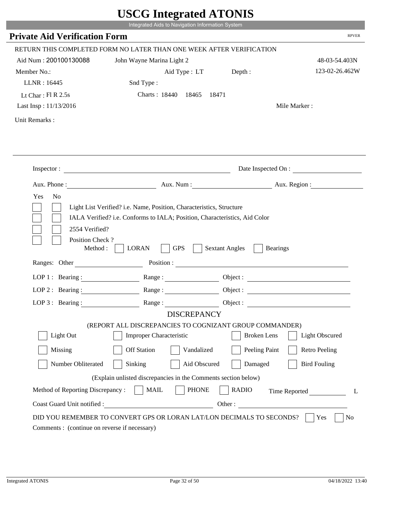|                                              | UDUU IIIIU ARUU ATUNID                                                                                                                                                                                                         |                                          |                        |
|----------------------------------------------|--------------------------------------------------------------------------------------------------------------------------------------------------------------------------------------------------------------------------------|------------------------------------------|------------------------|
|                                              | Integrated Aids to Navigation Information System                                                                                                                                                                               |                                          |                        |
| <b>Private Aid Verification Form</b>         |                                                                                                                                                                                                                                |                                          | <b>RPVER</b>           |
|                                              | RETURN THIS COMPLETED FORM NO LATER THAN ONE WEEK AFTER VERIFICATION                                                                                                                                                           |                                          |                        |
| Aid Num: 200100130088                        | John Wayne Marina Light 2                                                                                                                                                                                                      |                                          | 48-03-54.403N          |
| Member No.:                                  | Aid Type : LT Depth :                                                                                                                                                                                                          |                                          | 123-02-26.462W         |
| LLNR: 16445                                  | Snd Type:                                                                                                                                                                                                                      |                                          |                        |
| Lt Char: $FI R 2.5s$                         | Charts: 18440 18465                                                                                                                                                                                                            | 18471                                    |                        |
| Last Insp: 11/13/2016                        |                                                                                                                                                                                                                                |                                          | Mile Marker:           |
| Unit Remarks:                                |                                                                                                                                                                                                                                |                                          |                        |
|                                              |                                                                                                                                                                                                                                |                                          |                        |
|                                              |                                                                                                                                                                                                                                |                                          |                        |
| Aux. Phone :                                 | Inspector:                                                                                                                                                                                                                     |                                          | Date Inspected On :    |
|                                              |                                                                                                                                                                                                                                |                                          | Aux. Num: Aux. Region: |
| Yes<br>N <sub>o</sub><br>2554 Verified?      | Light List Verified? i.e. Name, Position, Characteristics, Structure<br>IALA Verified? i.e. Conforms to IALA; Position, Characteristics, Aid Color                                                                             |                                          |                        |
| Position Check?<br>Method :<br>Ranges: Other | <b>GPS</b><br><b>LORAN</b>                                                                                                                                                                                                     | <b>Sextant Angles</b><br><b>Bearings</b> |                        |
|                                              | Position : The Contract of the Contract of the Contract of the Contract of the Contract of the Contract of the Contract of the Contract of the Contract of the Contract of the Contract of the Contract of the Contract of the |                                          |                        |
| LOP 1 : Bearing :                            |                                                                                                                                                                                                                                |                                          | Object :               |
| $LOP$ 2 : Bearing :                          | Range :                                                                                                                                                                                                                        |                                          |                        |
| LOP 3: Bearing :                             | Range:                                                                                                                                                                                                                         |                                          |                        |
|                                              | <b>DISCREPANCY</b>                                                                                                                                                                                                             |                                          |                        |
| Light Out                                    | (REPORT ALL DISCREPANCIES TO COGNIZANT GROUP COMMANDER)<br><b>Improper Characteristic</b>                                                                                                                                      | <b>Broken</b> Lens                       | <b>Light Obscured</b>  |
| Missing                                      | <b>Off Station</b><br>Vandalized                                                                                                                                                                                               | Peeling Paint                            | <b>Retro Peeling</b>   |
| Number Obliterated                           | Sinking<br>Aid Obscured                                                                                                                                                                                                        | Damaged                                  | <b>Bird Fouling</b>    |
|                                              | (Explain unlisted discrepancies in the Comments section below)                                                                                                                                                                 |                                          |                        |
| Method of Reporting Discrepancy:             | <b>PHONE</b><br><b>MAIL</b>                                                                                                                                                                                                    | <b>RADIO</b>                             | Time Reported<br>L     |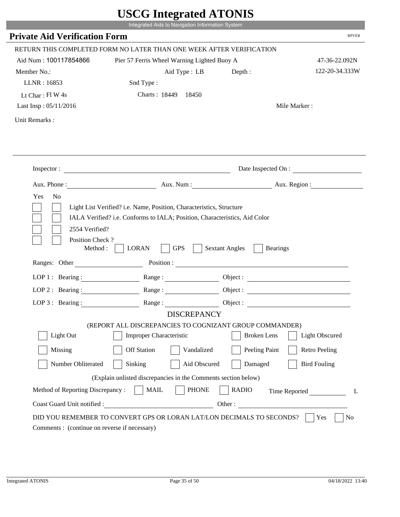|                                         | Integrated Aids to Navigation Information System                                                                                                   |                                          |                       |
|-----------------------------------------|----------------------------------------------------------------------------------------------------------------------------------------------------|------------------------------------------|-----------------------|
| <b>Private Aid Verification Form</b>    |                                                                                                                                                    |                                          | <b>RPVER</b>          |
|                                         | RETURN THIS COMPLETED FORM NO LATER THAN ONE WEEK AFTER VERIFICATION                                                                               |                                          |                       |
| Aid Num: 100117854866                   | Pier 57 Ferris Wheel Warning Lighted Buoy A                                                                                                        |                                          | 47-36-22.092N         |
| Member No.:                             | Aid Type : LB                                                                                                                                      | Depth:                                   | 122-20-34.333W        |
| LLNR: 16853                             | Snd Type:                                                                                                                                          |                                          |                       |
| Lt Char: $FI$ W 4s                      | Charts: 18449 18450                                                                                                                                |                                          |                       |
| Last Insp: 05/11/2016                   |                                                                                                                                                    |                                          | Mile Marker:          |
|                                         |                                                                                                                                                    |                                          |                       |
| Unit Remarks:                           |                                                                                                                                                    |                                          |                       |
|                                         |                                                                                                                                                    |                                          |                       |
|                                         | Inspector:                                                                                                                                         |                                          | Date Inspected On :   |
|                                         | Aux. Phone : Aux. Num : Aux. Num : Aux. Num : Aux. Region :                                                                                        |                                          |                       |
| Yes<br>N <sub>o</sub><br>2554 Verified? | Light List Verified? i.e. Name, Position, Characteristics, Structure<br>IALA Verified? i.e. Conforms to IALA; Position, Characteristics, Aid Color |                                          |                       |
| Position Check?<br>Method : $\vert$     | <b>GPS</b><br><b>LORAN</b>                                                                                                                         | <b>Sextant Angles</b><br><b>Bearings</b> |                       |
| Ranges: Other                           |                                                                                                                                                    |                                          |                       |
|                                         | LOP 1: Bearing: Range:                                                                                                                             |                                          |                       |
| LOP 2: Bearing:                         | Range:                                                                                                                                             |                                          |                       |
|                                         | LOP 3: Bearing: Range: Range: Object:                                                                                                              |                                          |                       |
|                                         | <b>DISCREPANCY</b>                                                                                                                                 |                                          |                       |
|                                         | (REPORT ALL DISCREPANCIES TO COGNIZANT GROUP COMMANDER)                                                                                            |                                          |                       |
| Light Out                               | Improper Characteristic                                                                                                                            | <b>Broken</b> Lens                       | <b>Light Obscured</b> |
| Missing                                 | <b>Off Station</b><br>Vandalized                                                                                                                   | Peeling Paint                            | <b>Retro Peeling</b>  |
| Number Obliterated                      | Sinking<br>Aid Obscured                                                                                                                            | Damaged                                  | <b>Bird Fouling</b>   |
|                                         | (Explain unlisted discrepancies in the Comments section below)                                                                                     |                                          |                       |
| Method of Reporting Discrepancy:        | <b>MAIL</b><br><b>PHONE</b>                                                                                                                        | <b>RADIO</b>                             | Time Reported<br>L    |

i i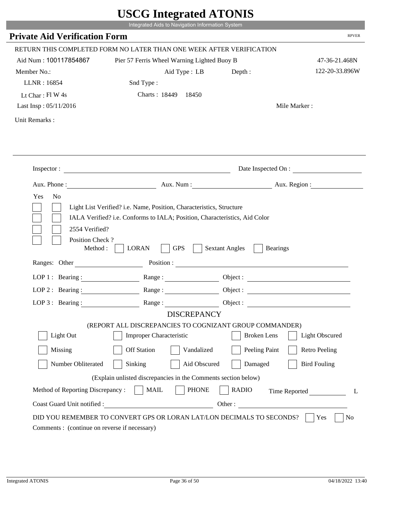|                                              | Integrated Aids to Navigation Information System                                                                                                   |                                          |                       |
|----------------------------------------------|----------------------------------------------------------------------------------------------------------------------------------------------------|------------------------------------------|-----------------------|
| <b>Private Aid Verification Form</b>         |                                                                                                                                                    |                                          | <b>RPVER</b>          |
|                                              | RETURN THIS COMPLETED FORM NO LATER THAN ONE WEEK AFTER VERIFICATION                                                                               |                                          |                       |
| Aid Num: 100117854867                        | Pier 57 Ferris Wheel Warning Lighted Buoy B                                                                                                        |                                          | 47-36-21.468N         |
| Member No.:                                  | Aid Type : LB                                                                                                                                      | Depth:                                   | 122-20-33.896W        |
| LLNR: 16854                                  | Snd Type:                                                                                                                                          |                                          |                       |
| Lt Char: $FlW 4s$                            | Charts: 18449 18450                                                                                                                                |                                          |                       |
| Last Insp: 05/11/2016                        |                                                                                                                                                    |                                          | Mile Marker:          |
| Unit Remarks:                                |                                                                                                                                                    |                                          |                       |
|                                              |                                                                                                                                                    |                                          |                       |
|                                              | Inspector:                                                                                                                                         |                                          | Date Inspected On :   |
|                                              | Aux. Phone: Aux. Aux. Num : Aux. Aux. Region :                                                                                                     |                                          |                       |
| Yes<br>N <sub>o</sub><br>2554 Verified?      | Light List Verified? i.e. Name, Position, Characteristics, Structure<br>IALA Verified? i.e. Conforms to IALA; Position, Characteristics, Aid Color |                                          |                       |
| Position Check?<br>Method :<br>Ranges: Other | <b>GPS</b><br><b>LORAN</b>                                                                                                                         | <b>Sextant Angles</b><br><b>Bearings</b> |                       |
|                                              | LOP 1 : Bearing : Range :                                                                                                                          |                                          |                       |
|                                              |                                                                                                                                                    |                                          | Object:               |
| LOP $2:$ Bearing :                           |                                                                                                                                                    |                                          |                       |
|                                              | LOP 3: Bearing: Range: Object:<br><b>DISCREPANCY</b>                                                                                               |                                          |                       |
|                                              | (REPORT ALL DISCREPANCIES TO COGNIZANT GROUP COMMANDER)                                                                                            |                                          |                       |
| Light Out                                    | Improper Characteristic                                                                                                                            | <b>Broken</b> Lens                       | <b>Light Obscured</b> |
| Missing                                      | <b>Off Station</b><br>Vandalized                                                                                                                   | Peeling Paint                            | <b>Retro Peeling</b>  |
| Number Obliterated                           | Sinking<br>Aid Obscured                                                                                                                            | Damaged                                  | <b>Bird Fouling</b>   |
|                                              | (Explain unlisted discrepancies in the Comments section below)                                                                                     |                                          |                       |
| Method of Reporting Discrepancy:             | <b>PHONE</b><br><b>MAIL</b>                                                                                                                        | <b>RADIO</b>                             | Time Reported<br>L    |

p.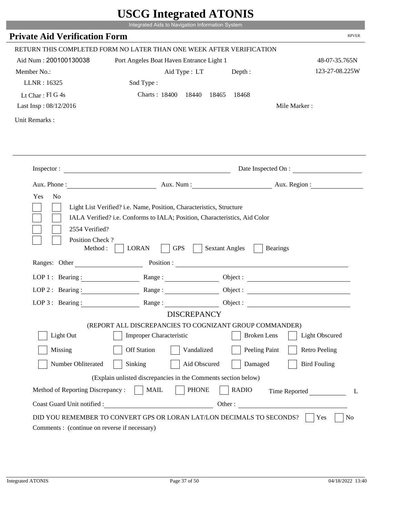|                                             | UDUU IIIIU ARUU ATUNID<br>Integrated Aids to Navigation Information System                                                                         |                                                        |                          |
|---------------------------------------------|----------------------------------------------------------------------------------------------------------------------------------------------------|--------------------------------------------------------|--------------------------|
| <b>Private Aid Verification Form</b>        |                                                                                                                                                    |                                                        | <b>RPVER</b>             |
|                                             | RETURN THIS COMPLETED FORM NO LATER THAN ONE WEEK AFTER VERIFICATION                                                                               |                                                        |                          |
| Aid Num: 200100130038                       | Port Angeles Boat Haven Entrance Light 1                                                                                                           |                                                        | 48-07-35.765N            |
| Member No.:                                 | Aid Type : LT                                                                                                                                      | Depth:                                                 | 123-27-08.225W           |
| LLNR: 16325                                 | Snd Type:                                                                                                                                          |                                                        |                          |
| Lt Char: Fl G 4s                            | Charts: 18400 18440                                                                                                                                | 18465<br>18468                                         |                          |
| Last Insp: 08/12/2016                       |                                                                                                                                                    |                                                        | Mile Marker:             |
| Unit Remarks:                               |                                                                                                                                                    |                                                        |                          |
|                                             |                                                                                                                                                    |                                                        |                          |
|                                             | Inspector:                                                                                                                                         |                                                        | Date Inspected On :      |
| Aux. Phone :                                |                                                                                                                                                    |                                                        | Aux. Num : Aux. Region : |
| Yes<br>N <sub>o</sub><br>2554 Verified?     | Light List Verified? i.e. Name, Position, Characteristics, Structure<br>IALA Verified? i.e. Conforms to IALA; Position, Characteristics, Aid Color |                                                        |                          |
| Position Check?<br>Method:<br>Ranges: Other | <b>GPS</b><br><b>LORAN</b>                                                                                                                         | <b>Sextant Angles</b><br><b>Bearings</b><br>Position : |                          |
|                                             |                                                                                                                                                    |                                                        |                          |
| LOP 1 : Bearing :<br>$LOP$ 2 : Bearing :    |                                                                                                                                                    |                                                        | Object :                 |
|                                             | Range:                                                                                                                                             |                                                        |                          |
| LOP $3:$ Bearing :                          | Range:<br><b>DISCREPANCY</b>                                                                                                                       |                                                        |                          |
|                                             | (REPORT ALL DISCREPANCIES TO COGNIZANT GROUP COMMANDER)                                                                                            |                                                        |                          |
| Light Out                                   | <b>Improper Characteristic</b>                                                                                                                     | <b>Broken</b> Lens                                     | <b>Light Obscured</b>    |
| Missing                                     | <b>Off Station</b><br>Vandalized                                                                                                                   | Peeling Paint                                          | <b>Retro Peeling</b>     |
| Number Obliterated                          | Sinking<br>Aid Obscured                                                                                                                            | Damaged                                                | <b>Bird Fouling</b>      |
|                                             | (Explain unlisted discrepancies in the Comments section below)                                                                                     |                                                        |                          |
| Method of Reporting Discrepancy:            | <b>PHONE</b><br><b>MAIL</b>                                                                                                                        | <b>RADIO</b>                                           | Time Reported<br>L       |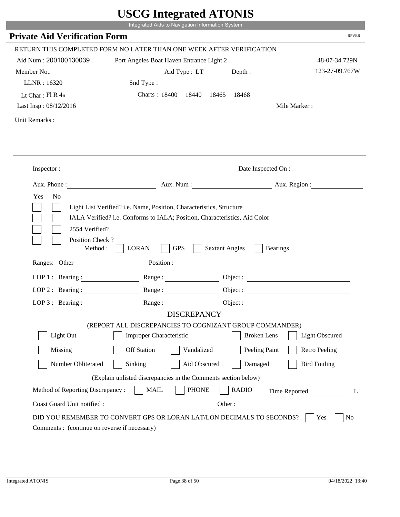|                                             | UDUU IIIIU ARUU ATUNID<br>Integrated Aids to Navigation Information System                                                                         |                       |                          |
|---------------------------------------------|----------------------------------------------------------------------------------------------------------------------------------------------------|-----------------------|--------------------------|
| <b>Private Aid Verification Form</b>        |                                                                                                                                                    |                       | <b>RPVER</b>             |
|                                             | RETURN THIS COMPLETED FORM NO LATER THAN ONE WEEK AFTER VERIFICATION                                                                               |                       |                          |
| Aid Num: 200100130039                       | Port Angeles Boat Haven Entrance Light 2                                                                                                           |                       | 48-07-34.729N            |
| Member No.:                                 | Aid Type : LT                                                                                                                                      | Depth:                | 123-27-09.767W           |
| LLNR: 16320                                 | Snd Type:                                                                                                                                          |                       |                          |
| Lt Char: Fl R 4s                            | Charts: 18400 18440                                                                                                                                | 18465<br>18468        |                          |
| Last Insp: 08/12/2016                       |                                                                                                                                                    |                       | Mile Marker:             |
| Unit Remarks:                               |                                                                                                                                                    |                       |                          |
|                                             |                                                                                                                                                    |                       |                          |
|                                             |                                                                                                                                                    |                       |                          |
|                                             | Inspector:                                                                                                                                         |                       | Date Inspected On :      |
| Aux. Phone :                                |                                                                                                                                                    |                       | Aux. Num : Aux. Region : |
| Yes<br>N <sub>o</sub><br>2554 Verified?     | Light List Verified? i.e. Name, Position, Characteristics, Structure<br>IALA Verified? i.e. Conforms to IALA; Position, Characteristics, Aid Color |                       |                          |
| Position Check?<br>Method:<br>Ranges: Other | <b>GPS</b><br><b>LORAN</b><br>Position :                                                                                                           | <b>Sextant Angles</b> | <b>Bearings</b>          |
|                                             |                                                                                                                                                    |                       |                          |
| LOP 1 : Bearing :                           |                                                                                                                                                    |                       | Object :                 |
| $LOP$ 2 : Bearing :                         | Range:                                                                                                                                             |                       |                          |
| LOP $3:$ Bearing :                          | Range:<br><b>DISCREPANCY</b>                                                                                                                       |                       |                          |
|                                             | (REPORT ALL DISCREPANCIES TO COGNIZANT GROUP COMMANDER)                                                                                            |                       |                          |
| Light Out                                   | <b>Improper Characteristic</b>                                                                                                                     | <b>Broken</b> Lens    | <b>Light Obscured</b>    |
| Missing                                     | <b>Off Station</b><br>Vandalized                                                                                                                   | Peeling Paint         | <b>Retro Peeling</b>     |
| Number Obliterated                          | Sinking<br>Aid Obscured                                                                                                                            | Damaged               | <b>Bird Fouling</b>      |
|                                             | (Explain unlisted discrepancies in the Comments section below)                                                                                     |                       |                          |
| Method of Reporting Discrepancy:            | <b>PHONE</b><br><b>MAIL</b>                                                                                                                        | <b>RADIO</b>          | Time Reported<br>L       |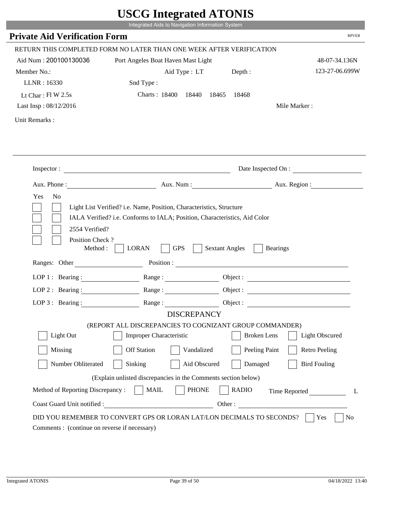|                                             | UDUU IIIIU ARUU ATUNID<br>Integrated Aids to Navigation Information System                                                                         |                       |                        |
|---------------------------------------------|----------------------------------------------------------------------------------------------------------------------------------------------------|-----------------------|------------------------|
| <b>Private Aid Verification Form</b>        |                                                                                                                                                    |                       | <b>RPVER</b>           |
|                                             | RETURN THIS COMPLETED FORM NO LATER THAN ONE WEEK AFTER VERIFICATION                                                                               |                       |                        |
| Aid Num: 200100130036                       | Port Angeles Boat Haven Mast Light                                                                                                                 |                       | 48-07-34.136N          |
| Member No.:                                 | Aid Type : LT Depth :                                                                                                                              |                       | 123-27-06.699W         |
| LLNR: 16330                                 | Snd Type:                                                                                                                                          |                       |                        |
| Lt Char: $FI W 2.5s$                        | Charts: 18400 18440                                                                                                                                | 18465<br>18468        |                        |
| Last Insp: 08/12/2016                       |                                                                                                                                                    |                       | Mile Marker:           |
| Unit Remarks:                               |                                                                                                                                                    |                       |                        |
|                                             |                                                                                                                                                    |                       |                        |
|                                             | Inspector:                                                                                                                                         |                       | Date Inspected On :    |
| Aux. Phone :                                |                                                                                                                                                    |                       | Aux. Num: Aux. Region: |
| Yes<br>N <sub>o</sub><br>2554 Verified?     | Light List Verified? i.e. Name, Position, Characteristics, Structure<br>IALA Verified? i.e. Conforms to IALA; Position, Characteristics, Aid Color |                       |                        |
| Position Check?<br>Method:<br>Ranges: Other | <b>GPS</b><br><b>LORAN</b>                                                                                                                         | <b>Sextant Angles</b> | <b>Bearings</b>        |
|                                             | Position :                                                                                                                                         |                       |                        |
| LOP 1 : Bearing :                           |                                                                                                                                                    |                       | Object :               |
| $LOP$ 2 : Bearing :                         | Range:                                                                                                                                             |                       |                        |
| LOP $3:$ Bearing :                          | Range:                                                                                                                                             |                       |                        |
|                                             | <b>DISCREPANCY</b><br>(REPORT ALL DISCREPANCIES TO COGNIZANT GROUP COMMANDER)                                                                      |                       |                        |
| Light Out                                   | <b>Improper Characteristic</b>                                                                                                                     | <b>Broken</b> Lens    | <b>Light Obscured</b>  |
| Missing                                     | <b>Off Station</b><br>Vandalized                                                                                                                   | Peeling Paint         | <b>Retro Peeling</b>   |
| Number Obliterated                          | Sinking<br>Aid Obscured                                                                                                                            | Damaged               | <b>Bird Fouling</b>    |
|                                             | (Explain unlisted discrepancies in the Comments section below)                                                                                     |                       |                        |
| Method of Reporting Discrepancy:            | <b>PHONE</b><br><b>MAIL</b>                                                                                                                        | <b>RADIO</b>          | Time Reported<br>L     |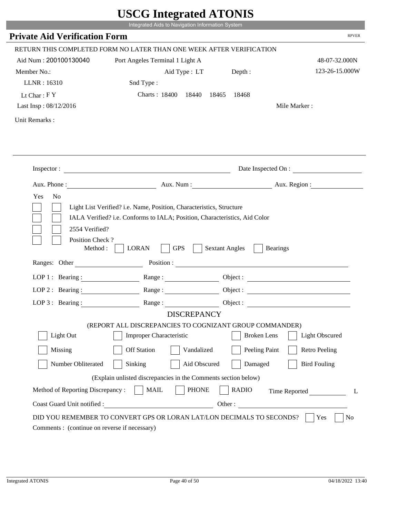|                                         | Integrated Aids to Navigation Information System                                                                                                   |                       |                         |
|-----------------------------------------|----------------------------------------------------------------------------------------------------------------------------------------------------|-----------------------|-------------------------|
| <b>Private Aid Verification Form</b>    |                                                                                                                                                    |                       | <b>RPVER</b>            |
|                                         |                                                                                                                                                    |                       |                         |
|                                         | RETURN THIS COMPLETED FORM NO LATER THAN ONE WEEK AFTER VERIFICATION                                                                               |                       |                         |
| Aid Num: 200100130040                   | Port Angeles Terminal 1 Light A                                                                                                                    |                       | 48-07-32.000N           |
| Member No.:                             | Aid Type : LT                                                                                                                                      | Depth:                | 123-26-15.000W          |
| LLNR: 16310                             | Snd Type:                                                                                                                                          |                       |                         |
| Lt Char: $FY$                           | Charts: 18400 18440                                                                                                                                | 18465<br>18468        |                         |
| Last Insp: 08/12/2016                   |                                                                                                                                                    |                       | Mile Marker:            |
| Unit Remarks:                           |                                                                                                                                                    |                       |                         |
|                                         |                                                                                                                                                    |                       |                         |
|                                         |                                                                                                                                                    |                       |                         |
|                                         | Inspector:                                                                                                                                         |                       | Date Inspected On :     |
|                                         |                                                                                                                                                    |                       | Aux. Num: Aux. Region:  |
| Yes<br>N <sub>o</sub><br>2554 Verified? | Light List Verified? i.e. Name, Position, Characteristics, Structure<br>IALA Verified? i.e. Conforms to IALA; Position, Characteristics, Aid Color |                       |                         |
| Position Check?<br>Method:              | <b>GPS</b><br><b>LORAN</b>                                                                                                                         | <b>Sextant Angles</b> | <b>Bearings</b>         |
| Ranges: Other                           |                                                                                                                                                    | Position :            |                         |
|                                         | LOP 1: Bearing : $\qquad \qquad$ Range :                                                                                                           |                       |                         |
| LOP $2:$ Bearing :                      | Range:                                                                                                                                             |                       |                         |
|                                         | LOP 3: Bearing: Range: Name: Object:                                                                                                               |                       |                         |
|                                         | <b>DISCREPANCY</b>                                                                                                                                 |                       |                         |
|                                         | (REPORT ALL DISCREPANCIES TO COGNIZANT GROUP COMMANDER)                                                                                            |                       |                         |
| Light Out                               | Improper Characteristic                                                                                                                            | <b>Broken</b> Lens    | Light Obscured          |
| Missing                                 | <b>Off Station</b><br>Vandalized                                                                                                                   | Peeling Paint         | <b>Retro Peeling</b>    |
| Number Obliterated                      | Sinking<br>Aid Obscured                                                                                                                            | Damaged               | <b>Bird Fouling</b>     |
|                                         | (Explain unlisted discrepancies in the Comments section below)                                                                                     |                       |                         |
| Method of Reporting Discrepancy:        | <b>PHONE</b><br><b>MAIL</b>                                                                                                                        | <b>RADIO</b>          | L                       |
| Coast Guard Unit notified :             | <u> 1980 - Johann Barbara, martin d</u>                                                                                                            |                       | Time Reported<br>Other: |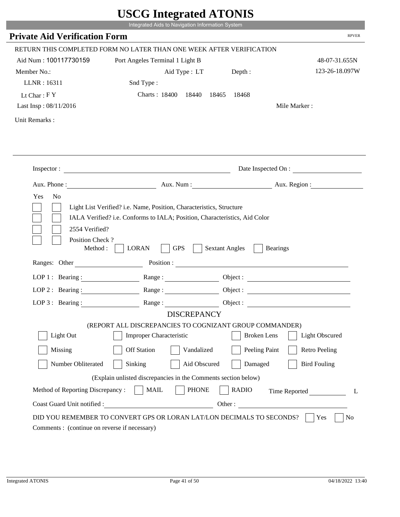|                                              | UDUU IIIIU ARUU ATUNID                                                                                                                             |                       |                          |
|----------------------------------------------|----------------------------------------------------------------------------------------------------------------------------------------------------|-----------------------|--------------------------|
|                                              | Integrated Aids to Navigation Information System                                                                                                   |                       |                          |
| <b>Private Aid Verification Form</b>         |                                                                                                                                                    |                       | <b>RPVER</b>             |
|                                              | RETURN THIS COMPLETED FORM NO LATER THAN ONE WEEK AFTER VERIFICATION                                                                               |                       |                          |
| Aid Num: 100117730159                        | Port Angeles Terminal 1 Light B                                                                                                                    |                       | 48-07-31.655N            |
| Member No.:                                  | Aid Type : LT                                                                                                                                      | Depth:                | 123-26-18.097W           |
| LLNR: 16311                                  | Snd Type:                                                                                                                                          |                       |                          |
| Lt Char: $FY$                                | Charts: 18400 18440                                                                                                                                | 18465<br>18468        |                          |
| Last Insp: 08/11/2016                        |                                                                                                                                                    |                       | Mile Marker:             |
| Unit Remarks:                                |                                                                                                                                                    |                       |                          |
|                                              |                                                                                                                                                    |                       |                          |
|                                              | Inspector:                                                                                                                                         |                       | Date Inspected On :      |
|                                              |                                                                                                                                                    |                       | Aux. Num : Aux. Region : |
| Yes<br>N <sub>o</sub><br>2554 Verified?      | Light List Verified? i.e. Name, Position, Characteristics, Structure<br>IALA Verified? i.e. Conforms to IALA; Position, Characteristics, Aid Color |                       |                          |
| Position Check?<br>Method :<br>Ranges: Other | <b>GPS</b><br><b>LORAN</b>                                                                                                                         | <b>Sextant Angles</b> | <b>Bearings</b>          |
|                                              | Position :                                                                                                                                         |                       |                          |
| LOP 1 : Bearing :                            |                                                                                                                                                    |                       |                          |
| LOP $2:$ Bearing :                           |                                                                                                                                                    |                       | Object :                 |
| $LOP$ 3 : Bearing :                          | Range:                                                                                                                                             |                       | Object :                 |
|                                              | <b>DISCREPANCY</b>                                                                                                                                 |                       |                          |
| Light Out                                    | (REPORT ALL DISCREPANCIES TO COGNIZANT GROUP COMMANDER)<br><b>Improper Characteristic</b>                                                          | <b>Broken</b> Lens    | <b>Light Obscured</b>    |
|                                              |                                                                                                                                                    |                       |                          |
| Missing                                      | <b>Off Station</b><br>Vandalized                                                                                                                   | Peeling Paint         | <b>Retro Peeling</b>     |
| Number Obliterated                           | Aid Obscured<br>Sinking                                                                                                                            | Damaged               | <b>Bird Fouling</b>      |
|                                              | (Explain unlisted discrepancies in the Comments section below)                                                                                     |                       |                          |
| Method of Reporting Discrepancy:             | <b>PHONE</b><br><b>MAIL</b>                                                                                                                        | <b>RADIO</b>          | Time Reported<br>L       |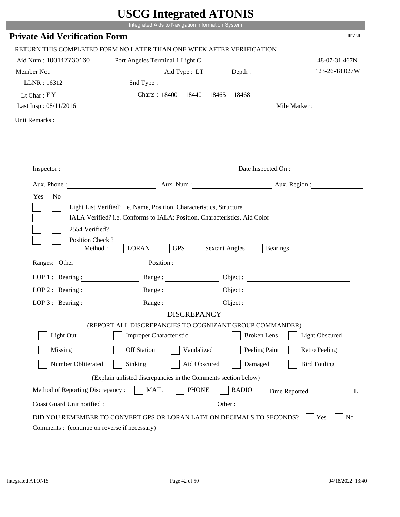|                                                                | UDUU IIIIU ARUU ATUNID<br>Integrated Aids to Navigation Information System                |                                                        |                       |
|----------------------------------------------------------------|-------------------------------------------------------------------------------------------|--------------------------------------------------------|-----------------------|
| <b>Private Aid Verification Form</b>                           |                                                                                           |                                                        | <b>RPVER</b>          |
|                                                                |                                                                                           |                                                        |                       |
|                                                                | RETURN THIS COMPLETED FORM NO LATER THAN ONE WEEK AFTER VERIFICATION                      |                                                        |                       |
| Aid Num: 100117730160                                          | Port Angeles Terminal 1 Light C                                                           |                                                        | 48-07-31.467N         |
| Member No.:                                                    | Aid Type : LT                                                                             | Depth:                                                 | 123-26-18.027W        |
| LLNR: 16312                                                    | Snd Type:                                                                                 |                                                        |                       |
| Lt Char: $FY$                                                  | Charts: 18400 18440                                                                       | 18465<br>18468                                         |                       |
| Last Insp: 08/11/2016                                          |                                                                                           |                                                        | Mile Marker:          |
| Unit Remarks:                                                  |                                                                                           |                                                        |                       |
|                                                                |                                                                                           |                                                        |                       |
|                                                                | Inspector:                                                                                |                                                        | Date Inspected On :   |
|                                                                |                                                                                           | Aux. Num : Aux. Region :                               |                       |
| 2554 Verified?<br>Position Check?<br>Method :<br>Ranges: Other | <b>GPS</b><br><b>LORAN</b>                                                                | <b>Sextant Angles</b><br><b>Bearings</b><br>Position : |                       |
|                                                                |                                                                                           |                                                        |                       |
| LOP 1 : Bearing :                                              |                                                                                           |                                                        |                       |
| LOP $2:$ Bearing :                                             |                                                                                           | Object :                                               |                       |
| $LOP 3:$ Bearing :                                             | Range:                                                                                    | Object :                                               |                       |
|                                                                | <b>DISCREPANCY</b>                                                                        |                                                        |                       |
| Light Out                                                      | (REPORT ALL DISCREPANCIES TO COGNIZANT GROUP COMMANDER)<br><b>Improper Characteristic</b> | <b>Broken</b> Lens                                     | <b>Light Obscured</b> |
| Missing                                                        | <b>Off Station</b><br>Vandalized                                                          | Peeling Paint                                          | <b>Retro Peeling</b>  |
| Number Obliterated                                             | Aid Obscured<br>Sinking                                                                   | Damaged                                                | <b>Bird Fouling</b>   |
|                                                                | (Explain unlisted discrepancies in the Comments section below)                            |                                                        |                       |
| Method of Reporting Discrepancy:                               | <b>PHONE</b><br><b>MAIL</b>                                                               | <b>RADIO</b>                                           | Time Reported<br>L    |
| Coast Guard Unit notified :                                    |                                                                                           | Other:                                                 |                       |
| Comments : (continue on reverse if necessary)                  | DID YOU REMEMBER TO CONVERT GPS OR LORAN LAT/LON DECIMALS TO SECONDS?                     |                                                        | No<br>Yes             |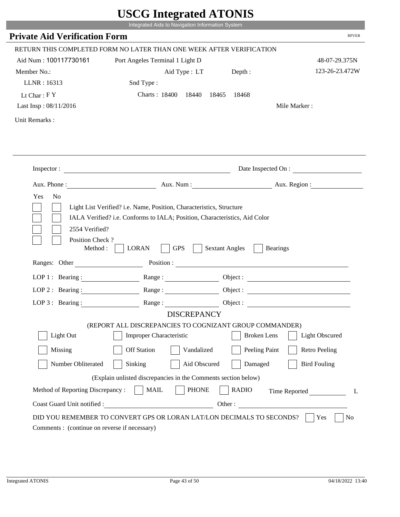|                                         | UDUU IIIItgi altu ATUNID<br>Integrated Aids to Navigation Information System                                                                       |                       |                        |
|-----------------------------------------|----------------------------------------------------------------------------------------------------------------------------------------------------|-----------------------|------------------------|
| <b>Private Aid Verification Form</b>    |                                                                                                                                                    |                       | <b>RPVER</b>           |
|                                         | RETURN THIS COMPLETED FORM NO LATER THAN ONE WEEK AFTER VERIFICATION                                                                               |                       |                        |
| Aid Num: 100117730161                   | Port Angeles Terminal 1 Light D                                                                                                                    |                       | 48-07-29.375N          |
| Member No.:                             | Aid Type : LT Depth :                                                                                                                              |                       | 123-26-23.472W         |
| LLNR: 16313                             | Snd Type:                                                                                                                                          |                       |                        |
| Lt Char: $FY$                           | Charts: 18400 18440                                                                                                                                | 18465<br>18468        |                        |
| Last Insp: 08/11/2016                   |                                                                                                                                                    |                       | Mile Marker:           |
| Unit Remarks:                           |                                                                                                                                                    |                       |                        |
|                                         |                                                                                                                                                    |                       |                        |
|                                         | Inspector:                                                                                                                                         |                       | Date Inspected On :    |
|                                         |                                                                                                                                                    |                       | Aux. Num: Aux. Region: |
| Yes<br>N <sub>0</sub><br>2554 Verified? | Light List Verified? i.e. Name, Position, Characteristics, Structure<br>IALA Verified? i.e. Conforms to IALA; Position, Characteristics, Aid Color |                       |                        |
| Position Check?<br>Method :             | <b>GPS</b><br><b>LORAN</b><br>Ranges: Other Position : Position :                                                                                  | <b>Sextant Angles</b> | <b>Bearings</b>        |
|                                         |                                                                                                                                                    |                       |                        |
| LOP 1 : Bearing : $\qquad \qquad$       |                                                                                                                                                    |                       | Object :               |
| LOP $2:$ Bearing :                      | Range :                                                                                                                                            |                       |                        |
| LOP $3$ : Bearing :                     | $\mathsf{Range}:\underbrace{\hspace{2.5cm}}$<br><b>DISCREPANCY</b>                                                                                 | Object :              |                        |
|                                         | (REPORT ALL DISCREPANCIES TO COGNIZANT GROUP COMMANDER)                                                                                            |                       |                        |
| Light Out                               | <b>Improper Characteristic</b>                                                                                                                     | <b>Broken</b> Lens    | <b>Light Obscured</b>  |
| Missing                                 | <b>Off Station</b><br>Vandalized                                                                                                                   | Peeling Paint         | <b>Retro Peeling</b>   |
| Number Obliterated                      | Sinking<br>Aid Obscured                                                                                                                            | Damaged               | <b>Bird Fouling</b>    |
|                                         | (Explain unlisted discrepancies in the Comments section below)                                                                                     |                       |                        |
| Method of Reporting Discrepancy:        | <b>PHONE</b><br><b>MAIL</b>                                                                                                                        | <b>RADIO</b>          | Time Reported<br>L     |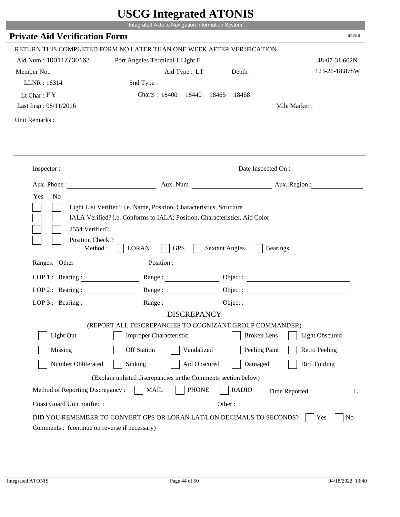|                                             | UDUU IIIIU ARUU ATUNID<br>Integrated Aids to Navigation Information System                                                                                                                                                                                   |                                          |                        |
|---------------------------------------------|--------------------------------------------------------------------------------------------------------------------------------------------------------------------------------------------------------------------------------------------------------------|------------------------------------------|------------------------|
| <b>Private Aid Verification Form</b>        |                                                                                                                                                                                                                                                              |                                          | <b>RPVER</b>           |
|                                             | RETURN THIS COMPLETED FORM NO LATER THAN ONE WEEK AFTER VERIFICATION                                                                                                                                                                                         |                                          |                        |
| Aid Num: 100117730163                       | Port Angeles Terminal 1 Light E                                                                                                                                                                                                                              |                                          | 48-07-31.602N          |
| Member No.:                                 | Aid Type : LT                                                                                                                                                                                                                                                | Depth:                                   | 123-26-18.878W         |
| LLNR: 16314                                 | Snd Type:                                                                                                                                                                                                                                                    |                                          |                        |
| Lt Char: $FY$                               | Charts: 18400 18440                                                                                                                                                                                                                                          | 18465<br>18468                           |                        |
| Last Insp: 08/11/2016                       |                                                                                                                                                                                                                                                              |                                          | Mile Marker:           |
| Unit Remarks:                               |                                                                                                                                                                                                                                                              |                                          |                        |
|                                             |                                                                                                                                                                                                                                                              |                                          |                        |
|                                             | Inspector:                                                                                                                                                                                                                                                   |                                          | Date Inspected On :    |
| Aux. Phone :                                |                                                                                                                                                                                                                                                              |                                          | Aux. Num: Aux. Region: |
| Yes<br>N <sub>o</sub><br>2554 Verified?     | Light List Verified? i.e. Name, Position, Characteristics, Structure<br>IALA Verified? i.e. Conforms to IALA; Position, Characteristics, Aid Color                                                                                                           |                                          |                        |
| Position Check?<br>Method:<br>Ranges: Other | <b>GPS</b><br><b>LORAN</b><br>Position : The Contract of the Contract of the Contract of the Contract of the Contract of the Contract of the Contract of the Contract of the Contract of the Contract of the Contract of the Contract of the Contract of the | <b>Sextant Angles</b><br><b>Bearings</b> |                        |
|                                             |                                                                                                                                                                                                                                                              |                                          |                        |
| LOP 1 : Bearing :                           |                                                                                                                                                                                                                                                              |                                          | Object :               |
| $LOP$ 2 : Bearing :                         | Range :                                                                                                                                                                                                                                                      |                                          |                        |
| LOP $3$ : Bearing :                         | Range:<br><b>DISCREPANCY</b>                                                                                                                                                                                                                                 |                                          |                        |
|                                             | (REPORT ALL DISCREPANCIES TO COGNIZANT GROUP COMMANDER)                                                                                                                                                                                                      |                                          |                        |
| Light Out                                   | <b>Improper Characteristic</b>                                                                                                                                                                                                                               | <b>Broken</b> Lens                       | <b>Light Obscured</b>  |
| Missing                                     | <b>Off Station</b><br>Vandalized                                                                                                                                                                                                                             | Peeling Paint                            | <b>Retro Peeling</b>   |
| Number Obliterated                          | Sinking<br>Aid Obscured                                                                                                                                                                                                                                      | Damaged                                  | <b>Bird Fouling</b>    |
|                                             | (Explain unlisted discrepancies in the Comments section below)                                                                                                                                                                                               |                                          |                        |
| Method of Reporting Discrepancy:            | <b>PHONE</b><br><b>MAIL</b>                                                                                                                                                                                                                                  | <b>RADIO</b>                             | Time Reported<br>L     |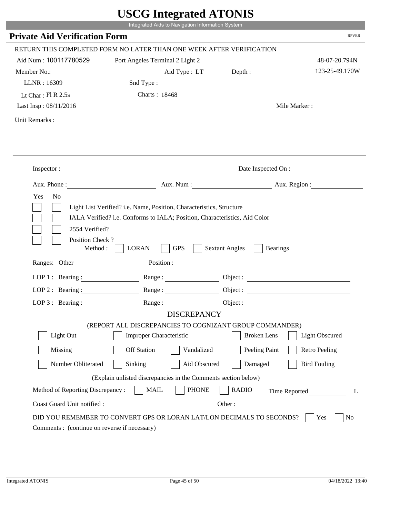|                                                            | Integrated Aids to Navigation Information System                                                                                                   | UDUU IIIIU ARUU ATUNID                                                                                                                                                                                                         |                        |
|------------------------------------------------------------|----------------------------------------------------------------------------------------------------------------------------------------------------|--------------------------------------------------------------------------------------------------------------------------------------------------------------------------------------------------------------------------------|------------------------|
| <b>Private Aid Verification Form</b>                       |                                                                                                                                                    |                                                                                                                                                                                                                                | <b>RPVER</b>           |
|                                                            | RETURN THIS COMPLETED FORM NO LATER THAN ONE WEEK AFTER VERIFICATION                                                                               |                                                                                                                                                                                                                                |                        |
| Aid Num: 100117780529                                      | Port Angeles Terminal 2 Light 2                                                                                                                    |                                                                                                                                                                                                                                | 48-07-20.794N          |
| Member No.:                                                | Aid Type : LT Depth :                                                                                                                              |                                                                                                                                                                                                                                | 123-25-49.170W         |
| LLNR: 16309                                                | Snd Type:                                                                                                                                          |                                                                                                                                                                                                                                |                        |
| Lt Char: $FI R 2.5s$                                       | Charts: 18468                                                                                                                                      |                                                                                                                                                                                                                                |                        |
| Last Insp: 08/11/2016                                      |                                                                                                                                                    |                                                                                                                                                                                                                                | Mile Marker:           |
| Unit Remarks:                                              |                                                                                                                                                    |                                                                                                                                                                                                                                |                        |
|                                                            |                                                                                                                                                    |                                                                                                                                                                                                                                |                        |
|                                                            | Inspector:                                                                                                                                         |                                                                                                                                                                                                                                | Date Inspected On :    |
| Aux. Phone :                                               |                                                                                                                                                    |                                                                                                                                                                                                                                | Aux. Num: Aux. Region: |
| Yes<br>N <sub>o</sub><br>2554 Verified?<br>Position Check? | Light List Verified? i.e. Name, Position, Characteristics, Structure<br>IALA Verified? i.e. Conforms to IALA; Position, Characteristics, Aid Color |                                                                                                                                                                                                                                |                        |
| Method:<br>Ranges: Other                                   | <b>GPS</b><br><b>LORAN</b>                                                                                                                         | <b>Sextant Angles</b><br><b>Bearings</b>                                                                                                                                                                                       |                        |
|                                                            |                                                                                                                                                    | Position : The Contract of the Contract of the Contract of the Contract of the Contract of the Contract of the Contract of the Contract of the Contract of the Contract of the Contract of the Contract of the Contract of the |                        |
| LOP 1 : Bearing : $\qquad \qquad$<br>$LOP$ 2 : Bearing :   | Range:                                                                                                                                             |                                                                                                                                                                                                                                | Object :               |
| LOP $3$ : Bearing :                                        | Range:                                                                                                                                             |                                                                                                                                                                                                                                |                        |
|                                                            | <b>DISCREPANCY</b>                                                                                                                                 |                                                                                                                                                                                                                                |                        |
|                                                            | (REPORT ALL DISCREPANCIES TO COGNIZANT GROUP COMMANDER)                                                                                            |                                                                                                                                                                                                                                |                        |
| Light Out                                                  | <b>Improper Characteristic</b>                                                                                                                     | <b>Broken</b> Lens                                                                                                                                                                                                             | <b>Light Obscured</b>  |
| Missing                                                    | <b>Off Station</b><br>Vandalized                                                                                                                   | Peeling Paint                                                                                                                                                                                                                  | <b>Retro Peeling</b>   |
| Number Obliterated                                         | Sinking<br>Aid Obscured                                                                                                                            | Damaged                                                                                                                                                                                                                        | <b>Bird Fouling</b>    |
|                                                            | (Explain unlisted discrepancies in the Comments section below)                                                                                     |                                                                                                                                                                                                                                |                        |
| Method of Reporting Discrepancy:                           | <b>PHONE</b><br><b>MAIL</b>                                                                                                                        | <b>RADIO</b>                                                                                                                                                                                                                   | Time Reported<br>L     |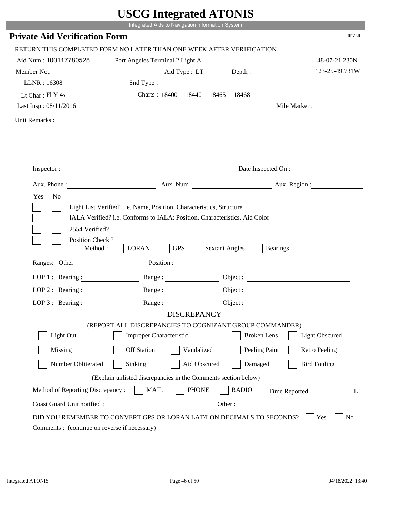|                                         | UDUU IIIIU ARUU ATUNID                                                                                                                             |                       |                          |
|-----------------------------------------|----------------------------------------------------------------------------------------------------------------------------------------------------|-----------------------|--------------------------|
|                                         | Integrated Aids to Navigation Information System                                                                                                   |                       |                          |
| <b>Private Aid Verification Form</b>    |                                                                                                                                                    |                       | <b>RPVER</b>             |
|                                         | RETURN THIS COMPLETED FORM NO LATER THAN ONE WEEK AFTER VERIFICATION                                                                               |                       |                          |
| Aid Num: 100117780528                   | Port Angeles Terminal 2 Light A                                                                                                                    |                       | 48-07-21.230N            |
| Member No.:                             | Aid Type : LT                                                                                                                                      | Depth:                | 123-25-49.731W           |
| LLNR: 16308                             | Snd Type:                                                                                                                                          |                       |                          |
| Lt Char: Fl Y 4s                        | Charts: 18400 18440                                                                                                                                | 18465<br>18468        |                          |
| Last Insp: 08/11/2016                   |                                                                                                                                                    |                       | Mile Marker:             |
| Unit Remarks:                           |                                                                                                                                                    |                       |                          |
|                                         |                                                                                                                                                    |                       |                          |
|                                         | Inspector:                                                                                                                                         |                       | Date Inspected On :      |
|                                         |                                                                                                                                                    |                       | Aux. Num : Aux. Region : |
| Yes<br>N <sub>o</sub><br>2554 Verified? | Light List Verified? i.e. Name, Position, Characteristics, Structure<br>IALA Verified? i.e. Conforms to IALA; Position, Characteristics, Aid Color |                       |                          |
| Position Check?<br>Method :             | <b>GPS</b><br><b>LORAN</b>                                                                                                                         | <b>Sextant Angles</b> | <b>Bearings</b>          |
| Ranges: Other                           |                                                                                                                                                    |                       | Position :               |
| LOP 1 : Bearing :                       |                                                                                                                                                    |                       |                          |
| LOP $2:$ Bearing :                      | Range:                                                                                                                                             |                       |                          |
| $LOP$ 3 : Bearing :                     | Range:                                                                                                                                             |                       | Object :                 |
|                                         | <b>DISCREPANCY</b>                                                                                                                                 |                       |                          |
|                                         | (REPORT ALL DISCREPANCIES TO COGNIZANT GROUP COMMANDER)                                                                                            |                       |                          |
| Light Out                               | <b>Improper Characteristic</b>                                                                                                                     | <b>Broken</b> Lens    | <b>Light Obscured</b>    |
| Missing                                 | <b>Off Station</b><br>Vandalized                                                                                                                   | Peeling Paint         | <b>Retro Peeling</b>     |
| Number Obliterated                      | Aid Obscured<br>Sinking                                                                                                                            | Damaged               | <b>Bird Fouling</b>      |
|                                         | (Explain unlisted discrepancies in the Comments section below)                                                                                     |                       |                          |
| Method of Reporting Discrepancy:        | <b>PHONE</b><br><b>MAIL</b>                                                                                                                        | <b>RADIO</b>          | Time Reported<br>L       |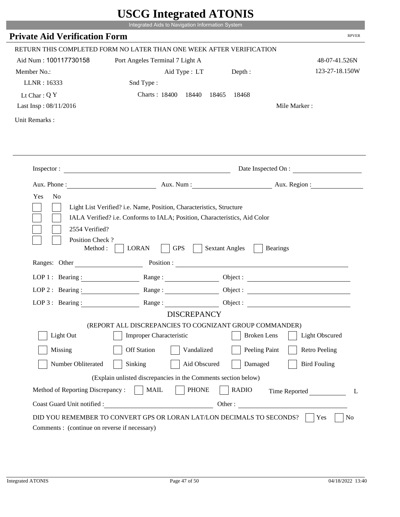|                                                                 | UDUU IIIIU ARUU ATUNID<br>Integrated Aids to Navigation Information System                                                                         |                       |                              |
|-----------------------------------------------------------------|----------------------------------------------------------------------------------------------------------------------------------------------------|-----------------------|------------------------------|
| <b>Private Aid Verification Form</b>                            |                                                                                                                                                    |                       | <b>RPVER</b>                 |
|                                                                 |                                                                                                                                                    |                       |                              |
|                                                                 | RETURN THIS COMPLETED FORM NO LATER THAN ONE WEEK AFTER VERIFICATION                                                                               |                       |                              |
| Aid Num: 100117730158                                           | Port Angeles Terminal 7 Light A                                                                                                                    |                       | 48-07-41.526N                |
| Member No.:                                                     | Aid Type : LT                                                                                                                                      | Depth:                | 123-27-18.150W               |
| LLNR: 16333                                                     | Snd Type:                                                                                                                                          |                       |                              |
| Lt Char: $QY$                                                   | Charts: 18400 18440                                                                                                                                | 18465<br>18468        |                              |
| Last Insp: 08/11/2016                                           |                                                                                                                                                    |                       | Mile Marker:                 |
| Unit Remarks:                                                   |                                                                                                                                                    |                       |                              |
|                                                                 |                                                                                                                                                    |                       |                              |
|                                                                 | Inspector:                                                                                                                                         |                       | Date Inspected On :          |
|                                                                 |                                                                                                                                                    |                       | Aux. Num : Aux. Region :     |
| 2554 Verified?                                                  | Light List Verified? i.e. Name, Position, Characteristics, Structure<br>IALA Verified? i.e. Conforms to IALA; Position, Characteristics, Aid Color |                       |                              |
| Position Check?<br>Method :<br>Ranges: Other                    | <b>GPS</b><br><b>LORAN</b>                                                                                                                         | <b>Sextant Angles</b> | <b>Bearings</b>              |
|                                                                 |                                                                                                                                                    | Position :            |                              |
| LOP 1 : Bearing :                                               |                                                                                                                                                    |                       |                              |
| LOP $2:$ Bearing :                                              |                                                                                                                                                    |                       | Object :                     |
| $LOP 3:$ Bearing :                                              | Range:                                                                                                                                             |                       | Object :                     |
|                                                                 | <b>DISCREPANCY</b>                                                                                                                                 |                       |                              |
| Light Out                                                       | (REPORT ALL DISCREPANCIES TO COGNIZANT GROUP COMMANDER)<br><b>Improper Characteristic</b>                                                          | <b>Broken</b> Lens    | <b>Light Obscured</b>        |
| Missing                                                         | <b>Off Station</b><br>Vandalized                                                                                                                   | Peeling Paint         | <b>Retro Peeling</b>         |
| Number Obliterated                                              | Aid Obscured<br>Sinking                                                                                                                            | Damaged               | <b>Bird Fouling</b>          |
|                                                                 |                                                                                                                                                    |                       |                              |
|                                                                 | (Explain unlisted discrepancies in the Comments section below)                                                                                     |                       |                              |
| Method of Reporting Discrepancy:<br>Coast Guard Unit notified : | <b>PHONE</b><br><b>MAIL</b>                                                                                                                        | <b>RADIO</b>          | Time Reported<br>L<br>Other: |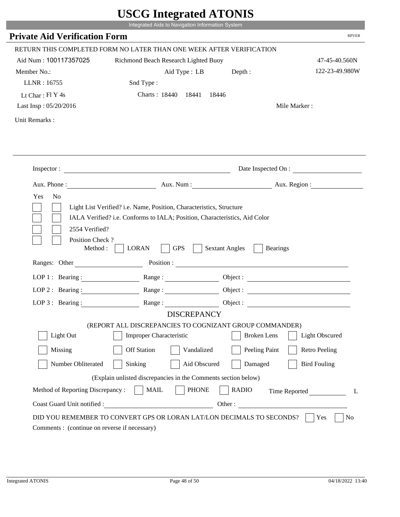|                                                                        | Integrated Aids to Navigation Information System                                                                                                   | $\sim$                                   |                       |
|------------------------------------------------------------------------|----------------------------------------------------------------------------------------------------------------------------------------------------|------------------------------------------|-----------------------|
| <b>Private Aid Verification Form</b>                                   |                                                                                                                                                    |                                          | <b>RPVER</b>          |
|                                                                        | RETURN THIS COMPLETED FORM NO LATER THAN ONE WEEK AFTER VERIFICATION                                                                               |                                          |                       |
| Aid Num: 100117357025                                                  | Richmond Beach Research Lighted Buoy                                                                                                               |                                          | 47-45-40.560N         |
| Member No.:                                                            | Aid Type : LB                                                                                                                                      | Depth:                                   | 122-23-49.980W        |
| LLNR: 16755                                                            | Snd Type:                                                                                                                                          |                                          |                       |
| Lt Char: $FI Y 4s$                                                     | Charts: 18440 18441 18446                                                                                                                          |                                          |                       |
| Last Insp: 05/20/2016                                                  |                                                                                                                                                    |                                          | Mile Marker:          |
| Unit Remarks:                                                          |                                                                                                                                                    |                                          |                       |
|                                                                        |                                                                                                                                                    |                                          |                       |
|                                                                        | Inspector:                                                                                                                                         |                                          | Date Inspected On :   |
|                                                                        | Aux. Phone : Aux. Num : Aux. Num : Aux. Aux. Region :                                                                                              |                                          |                       |
| Yes<br>N <sub>o</sub>                                                  | Light List Verified? i.e. Name, Position, Characteristics, Structure<br>IALA Verified? i.e. Conforms to IALA; Position, Characteristics, Aid Color |                                          |                       |
| 2554 Verified?<br>Position Check?<br>Method : $\vert$<br>Ranges: Other | <b>LORAN</b><br><b>GPS</b>                                                                                                                         | <b>Sextant Angles</b><br><b>Bearings</b> |                       |
|                                                                        |                                                                                                                                                    |                                          |                       |
|                                                                        | LOP 1: Bearing: Range:                                                                                                                             |                                          |                       |
| LOP 2 : Bearing :                                                      | Range:                                                                                                                                             |                                          |                       |
|                                                                        | LOP 3: Bearing: Range: Range: Object:                                                                                                              |                                          |                       |
|                                                                        | <b>DISCREPANCY</b>                                                                                                                                 |                                          |                       |
| Light Out                                                              | (REPORT ALL DISCREPANCIES TO COGNIZANT GROUP COMMANDER)<br>Improper Characteristic                                                                 | <b>Broken</b> Lens                       | <b>Light Obscured</b> |
|                                                                        |                                                                                                                                                    |                                          |                       |
| Missing                                                                | <b>Off Station</b><br>Vandalized                                                                                                                   | Peeling Paint                            | <b>Retro Peeling</b>  |
| Number Obliterated                                                     | Sinking<br>Aid Obscured                                                                                                                            | Damaged                                  | <b>Bird Fouling</b>   |
|                                                                        | (Explain unlisted discrepancies in the Comments section below)                                                                                     |                                          |                       |
| Method of Reporting Discrepancy:                                       | <b>MAIL</b><br><b>PHONE</b>                                                                                                                        | <b>RADIO</b>                             | Time Reported<br>L    |

p.